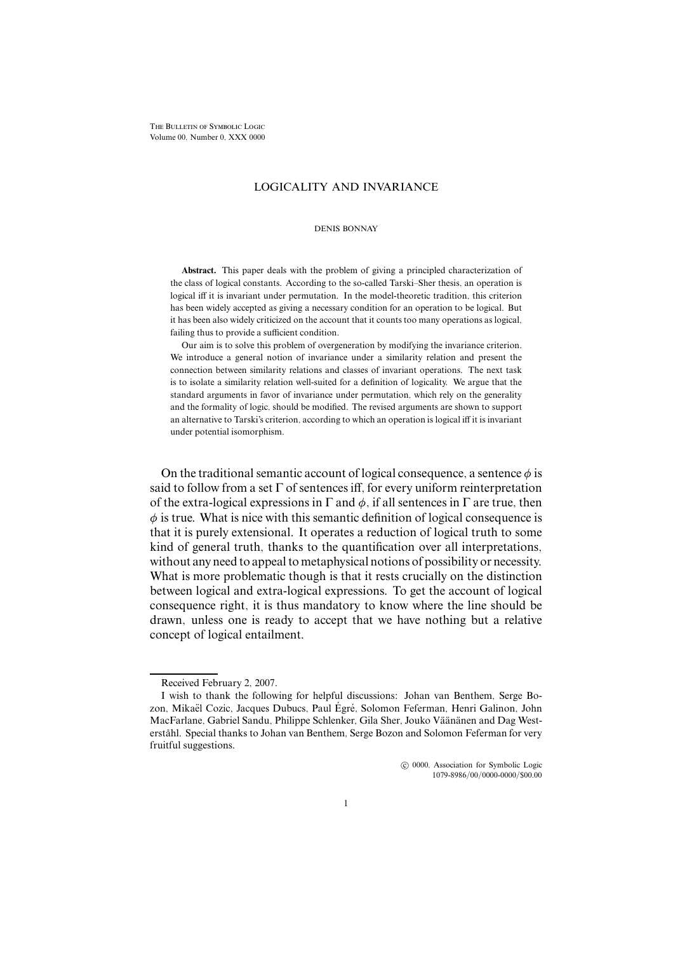# LOGICALITY AND INVARIANCE

#### DENIS BONNAY

**Abstract.** This paper deals with the problem of giving a principled characterization of the class of logical constants. According to the so-called Tarski–Sher thesis, an operation is logical iff it is invariant under permutation. In the model-theoretic tradition, this criterion has been widely accepted as giving a necessary condition for an operation to be logical. But it has been also widely criticized on the account that it counts too many operations as logical, failing thus to provide a sufficient condition.

Our aim is to solve this problem of overgeneration by modifying the invariance criterion. We introduce a general notion of invariance under a similarity relation and present the connection between similarity relations and classes of invariant operations. The next task is to isolate a similarity relation well-suited for a definition of logicality. We argue that the standard arguments in favor of invariance under permutation, which rely on the generality and the formality of logic, should be modified. The revised arguments are shown to support an alternative to Tarski's criterion, according to which an operation is logical iff it is invariant under potential isomorphism.

On the traditional semantic account of logical consequence, a sentence  $\phi$  is said to follow from a set  $\Gamma$  of sentences iff, for every uniform reinterpretation of the extra-logical expressions in Γ and *φ*, if all sentences in Γ are true, then *φ* is true. What is nice with this semantic definition of logical consequence is that it is purely extensional. It operates a reduction of logical truth to some kind of general truth, thanks to the quantification over all interpretations, without any need to appeal to metaphysical notions of possibility or necessity. What is more problematic though is that it rests crucially on the distinction between logical and extra-logical expressions. To get the account of logical consequence right, it is thus mandatory to know where the line should be drawn, unless one is ready to accept that we have nothing but a relative concept of logical entailment.

 c 0000, Association for Symbolic Logic 1079-8986/00/0000-0000/\$00.00

Received February 2, 2007.

I wish to thank the following for helpful discussions: Johan van Benthem, Serge Bozon, Mikaël Cozic, Jacques Dubucs, Paul Égré, Solomon Feferman, Henri Galinon, John MacFarlane, Gabriel Sandu, Philippe Schlenker, Gila Sher, Jouko Väänänen and Dag Westerståhl. Special thanks to Johan van Benthem, Serge Bozon and Solomon Feferman for very fruitful suggestions.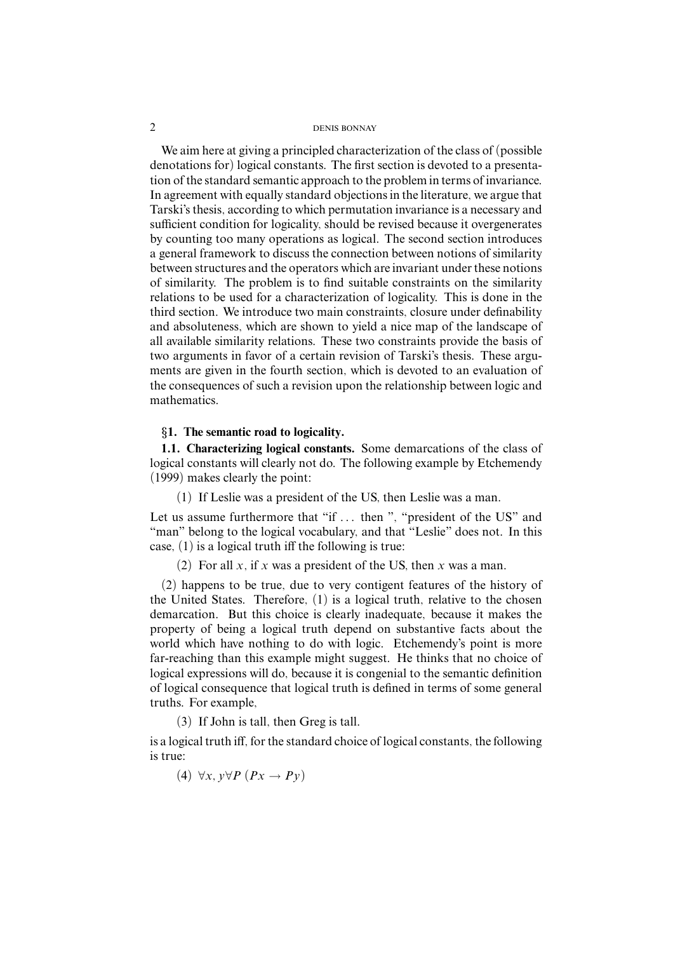We aim here at giving a principled characterization of the class of (possible denotations for) logical constants. The first section is devoted to a presentation of the standard semantic approach to the problem in terms of invariance. In agreement with equally standard objections in the literature, we argue that Tarski's thesis, according to which permutation invariance is a necessary and sufficient condition for logicality, should be revised because it overgenerates by counting too many operations as logical. The second section introduces a general framework to discuss the connection between notions of similarity between structures and the operators which are invariant under these notions of similarity. The problem is to find suitable constraints on the similarity relations to be used for a characterization of logicality. This is done in the third section. We introduce two main constraints, closure under definability and absoluteness, which are shown to yield a nice map of the landscape of all available similarity relations. These two constraints provide the basis of two arguments in favor of a certain revision of Tarski's thesis. These arguments are given in the fourth section, which is devoted to an evaluation of the consequences of such a revision upon the relationship between logic and mathematics.

# §**1. The semantic road to logicality.**

**1.1. Characterizing logical constants.** Some demarcations of the class of logical constants will clearly not do. The following example by Etchemendy (1999) makes clearly the point:

(1) If Leslie was a president of the US, then Leslie was a man.

Let us assume furthermore that "if ... then ", "president of the US" and "man" belong to the logical vocabulary, and that "Leslie" does not. In this case, (1) is a logical truth iff the following is true:

(2) For all *x*, if *x* was a president of the US, then *x* was a man.

(2) happens to be true, due to very contigent features of the history of the United States. Therefore, (1) is a logical truth, relative to the chosen demarcation. But this choice is clearly inadequate, because it makes the property of being a logical truth depend on substantive facts about the world which have nothing to do with logic. Etchemendy's point is more far-reaching than this example might suggest. He thinks that no choice of logical expressions will do, because it is congenial to the semantic definition of logical consequence that logical truth is defined in terms of some general truths. For example,

(3) If John is tall, then Greg is tall.

is a logical truth iff, for the standard choice of logical constants, the following is true:

(4)  $\forall x, y \forall P (Px \rightarrow Py)$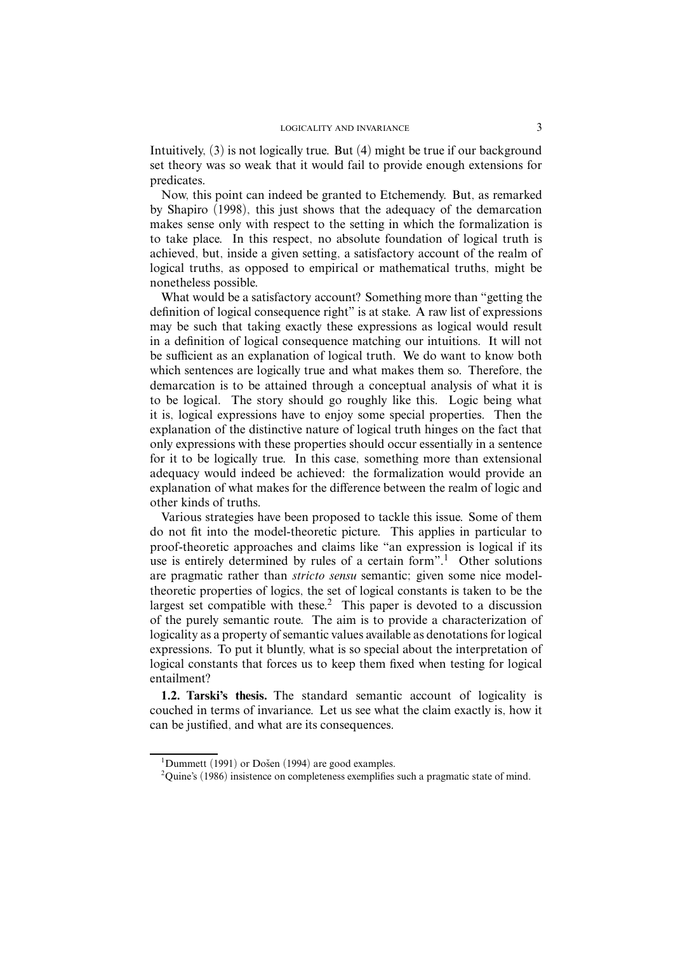#### LOGICALITY AND INVARIANCE 3

Intuitively, (3) is not logically true. But (4) might be true if our background set theory was so weak that it would fail to provide enough extensions for predicates.

Now, this point can indeed be granted to Etchemendy. But, as remarked by Shapiro (1998), this just shows that the adequacy of the demarcation makes sense only with respect to the setting in which the formalization is to take place. In this respect, no absolute foundation of logical truth is achieved, but, inside a given setting, a satisfactory account of the realm of logical truths, as opposed to empirical or mathematical truths, might be nonetheless possible.

What would be a satisfactory account? Something more than "getting the definition of logical consequence right" is at stake. A raw list of expressions may be such that taking exactly these expressions as logical would result in a definition of logical consequence matching our intuitions. It will not be sufficient as an explanation of logical truth. We do want to know both which sentences are logically true and what makes them so. Therefore, the demarcation is to be attained through a conceptual analysis of what it is to be logical. The story should go roughly like this. Logic being what it is, logical expressions have to enjoy some special properties. Then the explanation of the distinctive nature of logical truth hinges on the fact that only expressions with these properties should occur essentially in a sentence for it to be logically true. In this case, something more than extensional adequacy would indeed be achieved: the formalization would provide an explanation of what makes for the difference between the realm of logic and other kinds of truths.

Various strategies have been proposed to tackle this issue. Some of them do not fit into the model-theoretic picture. This applies in particular to proof-theoretic approaches and claims like "an expression is logical if its use is entirely determined by rules of a certain form".<sup>1</sup> Other solutions are pragmatic rather than *stricto sensu* semantic; given some nice modeltheoretic properties of logics, the set of logical constants is taken to be the largest set compatible with these.<sup>2</sup> This paper is devoted to a discussion of the purely semantic route. The aim is to provide a characterization of logicality as a property of semantic values available as denotations for logical expressions. To put it bluntly, what is so special about the interpretation of logical constants that forces us to keep them fixed when testing for logical entailment?

**1.2. Tarski's thesis.** The standard semantic account of logicality is couched in terms of invariance. Let us see what the claim exactly is, how it can be justified, and what are its consequences.

<sup>&</sup>lt;sup>1</sup>Dummett (1991) or Došen (1994) are good examples.

 $2$ Quine's (1986) insistence on completeness exemplifies such a pragmatic state of mind.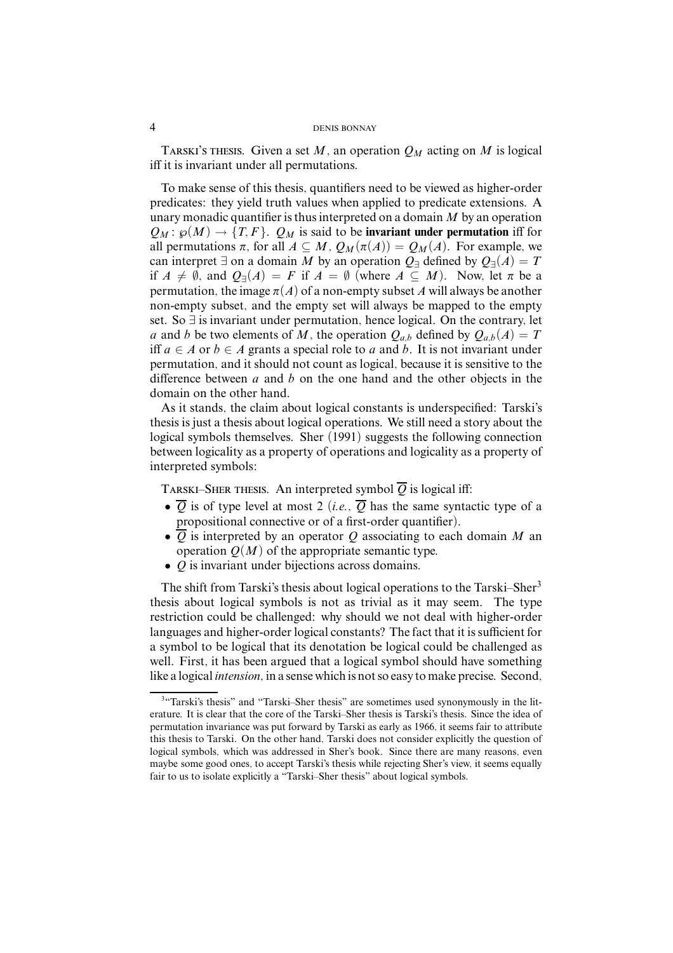Tarski's thesis. Given a set *M*, an operation *Q<sup>M</sup>* acting on *M* is logical iff it is invariant under all permutations.

To make sense of this thesis, quantifiers need to be viewed as higher-order predicates: they yield truth values when applied to predicate extensions. A unary monadic quantifier is thus interpreted on a domain *M* by an operation  $Q_M$ :  $\wp(M) \to \{T, F\}$ .  $Q_M$  is said to be **invariant under permutation** iff for all permutations  $\pi$ , for all  $A \subseteq M$ ,  $Q_M(\pi(A)) = Q_M(A)$ . For example, we can interpret  $\exists$  on a domain *M* by an operation  $Q_{\exists}$  defined by  $Q_{\exists}(A) = T$ if  $A \neq \emptyset$ , and  $Q_{\exists}(A) = F$  if  $A = \emptyset$  (where  $A \subseteq M$ ). Now, let  $\pi$  be a permutation, the image  $\pi(A)$  of a non-empty subset A will always be another non-empty subset, and the empty set will always be mapped to the empty set. So ∃ is invariant under permutation, hence logical. On the contrary, let *a* and *b* be two elements of *M*, the operation  $Q_{a,b}$  defined by  $Q_{a,b}(A) = T$ iff *a* ∈ *A* or *b* ∈ *A* grants a special role to *a* and *b*. It is not invariant under permutation, and it should not count as logical, because it is sensitive to the difference between *a* and *b* on the one hand and the other objects in the domain on the other hand.

As it stands, the claim about logical constants is underspecified: Tarski's thesis is just a thesis about logical operations. We still need a story about the logical symbols themselves. Sher (1991) suggests the following connection between logicality as a property of operations and logicality as a property of interpreted symbols:

TARSKI–SHER THESIS. An interpreted symbol  $\overline{Q}$  is logical iff:

- $\overline{Q}$  is of type level at most 2 (*i.e.*,  $\overline{Q}$  has the same syntactic type of a propositional connective or of a first-order quantifier).
- $\bullet$   $\overline{Q}$  is interpreted by an operator *Q* associating to each domain *M* an operation  $Q(M)$  of the appropriate semantic type.
- *Q* is invariant under bijections across domains.

The shift from Tarski's thesis about logical operations to the Tarski–Sher<sup>3</sup> thesis about logical symbols is not as trivial as it may seem. The type restriction could be challenged: why should we not deal with higher-order languages and higher-order logical constants? The fact that it is sufficient for a symbol to be logical that its denotation be logical could be challenged as well. First, it has been argued that a logical symbol should have something like a logical *intension*, in a sense which is not so easy to make precise. Second,

<sup>&</sup>lt;sup>3</sup>"Tarski's thesis" and "Tarski-Sher thesis" are sometimes used synonymously in the literature. It is clear that the core of the Tarski–Sher thesis is Tarski's thesis. Since the idea of permutation invariance was put forward by Tarski as early as 1966, it seems fair to attribute this thesis to Tarski. On the other hand, Tarski does not consider explicitly the question of logical symbols, which was addressed in Sher's book. Since there are many reasons, even maybe some good ones, to accept Tarski's thesis while rejecting Sher's view, it seems equally fair to us to isolate explicitly a "Tarski–Sher thesis" about logical symbols.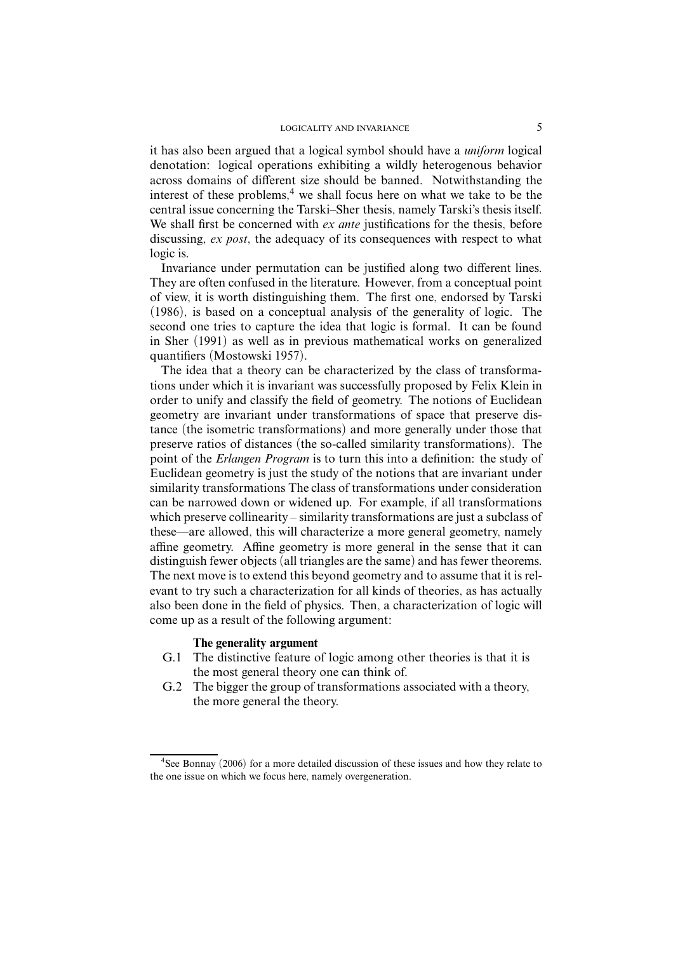it has also been argued that a logical symbol should have a *uniform* logical denotation: logical operations exhibiting a wildly heterogenous behavior across domains of different size should be banned. Notwithstanding the interest of these problems,  $4\text{ we shall focus here on what we take to be the}$ central issue concerning the Tarski–Sher thesis, namely Tarski's thesis itself. We shall first be concerned with *ex ante* justifications for the thesis, before discussing, *ex post*, the adequacy of its consequences with respect to what logic is.

Invariance under permutation can be justified along two different lines. They are often confused in the literature. However, from a conceptual point of view, it is worth distinguishing them. The first one, endorsed by Tarski (1986), is based on a conceptual analysis of the generality of logic. The second one tries to capture the idea that logic is formal. It can be found in Sher (1991) as well as in previous mathematical works on generalized quantifiers (Mostowski 1957).

The idea that a theory can be characterized by the class of transformations under which it is invariant was successfully proposed by Felix Klein in order to unify and classify the field of geometry. The notions of Euclidean geometry are invariant under transformations of space that preserve distance (the isometric transformations) and more generally under those that preserve ratios of distances (the so-called similarity transformations). The point of the *Erlangen Program* is to turn this into a definition: the study of Euclidean geometry is just the study of the notions that are invariant under similarity transformations The class of transformations under consideration can be narrowed down or widened up. For example, if all transformations which preserve collinearity – similarity transformations are just a subclass of these—are allowed, this will characterize a more general geometry, namely affine geometry. Affine geometry is more general in the sense that it can distinguish fewer objects (all triangles are the same) and has fewer theorems. The next move is to extend this beyond geometry and to assume that it is relevant to try such a characterization for all kinds of theories, as has actually also been done in the field of physics. Then, a characterization of logic will come up as a result of the following argument:

## **The generality argument**

- G.1 The distinctive feature of logic among other theories is that it is the most general theory one can think of.
- G.2 The bigger the group of transformations associated with a theory, the more general the theory.

<sup>&</sup>lt;sup>4</sup>See Bonnay (2006) for a more detailed discussion of these issues and how they relate to the one issue on which we focus here, namely overgeneration.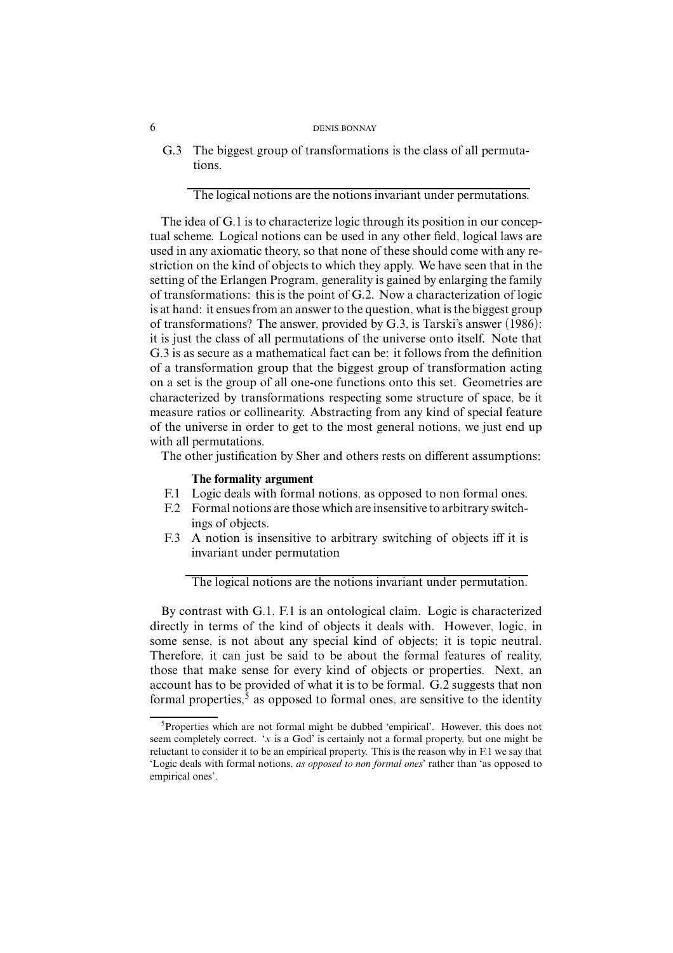G.3 The biggest group of transformations is the class of all permutations.

# The logical notions are the notions invariant under permutations.

The idea of G.1 is to characterize logic through its position in our conceptual scheme. Logical notions can be used in any other field, logical laws are used in any axiomatic theory, so that none of these should come with any restriction on the kind of objects to which they apply. We have seen that in the setting of the Erlangen Program, generality is gained by enlarging the family of transformations: this is the point of G.2. Now a characterization of logic is at hand: it ensues from an answer to the question, what is the biggest group of transformations? The answer, provided by G.3, is Tarski's answer (1986): it is just the class of all permutations of the universe onto itself. Note that G.3 is as secure as a mathematical fact can be: it follows from the definition of a transformation group that the biggest group of transformation acting on a set is the group of all one-one functions onto this set. Geometries are characterized by transformations respecting some structure of space, be it measure ratios or collinearity. Abstracting from any kind of special feature of the universe in order to get to the most general notions, we just end up with all permutations.

The other justification by Sher and others rests on different assumptions:

# **The formality argument**

- F.1 Logic deals with formal notions, as opposed to non formal ones.
- F.2 Formal notions are those which are insensitive to arbitrary switchings of objects.
- F.3 A notion is insensitive to arbitrary switching of objects iff it is invariant under permutation

By contrast with G.1, F.1 is an ontological claim. Logic is characterized directly in terms of the kind of objects it deals with. However, logic, in some sense, is not about any special kind of objects; it is topic neutral. Therefore, it can just be said to be about the formal features of reality, those that make sense for every kind of objects or properties. Next, an account has to be provided of what it is to be formal. G.2 suggests that non formal properties,<sup>5</sup> as opposed to formal ones, are sensitive to the identity

The logical notions are the notions invariant under permutation.

 $<sup>5</sup>$ Properties which are not formal might be dubbed 'empirical'. However, this does not</sup> seem completely correct. ' $x$  is a God' is certainly not a formal property, but one might be reluctant to consider it to be an empirical property. This is the reason why in F.1 we say that 'Logic deals with formal notions, *as opposed to non formal ones*' rather than 'as opposed to empirical ones'.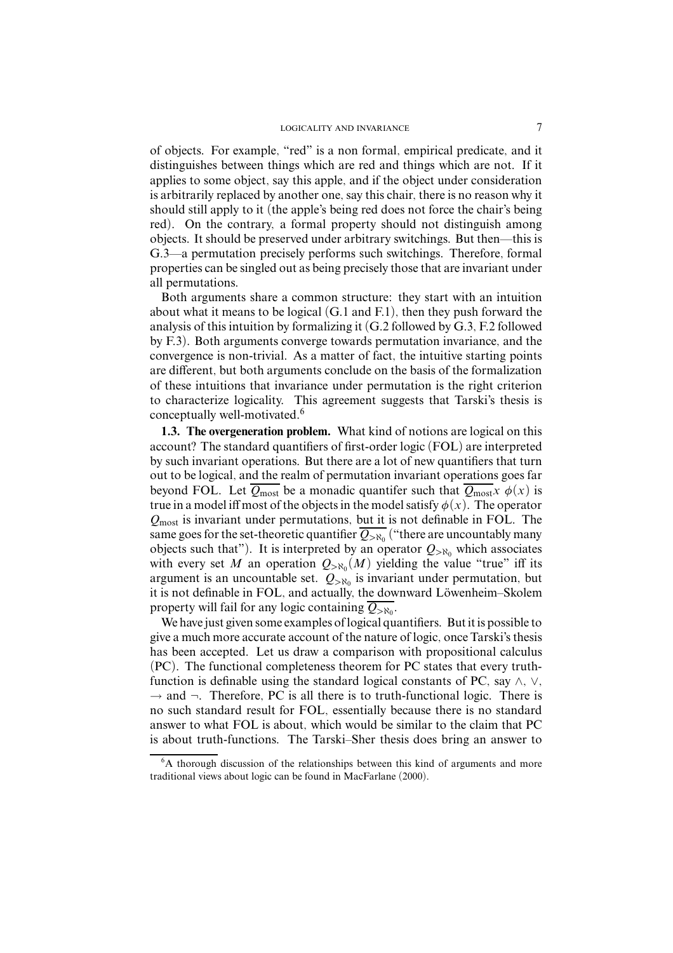of objects. For example, "red" is a non formal, empirical predicate, and it distinguishes between things which are red and things which are not. If it applies to some object, say this apple, and if the object under consideration is arbitrarily replaced by another one, say this chair, there is no reason why it should still apply to it (the apple's being red does not force the chair's being red). On the contrary, a formal property should not distinguish among objects. It should be preserved under arbitrary switchings. But then—this is G.3—a permutation precisely performs such switchings. Therefore, formal properties can be singled out as being precisely those that are invariant under all permutations.

Both arguments share a common structure: they start with an intuition about what it means to be logical  $(G.1 \text{ and } F.1)$ , then they push forward the analysis of this intuition by formalizing it (G.2 followed by G.3, F.2 followed by F.3). Both arguments converge towards permutation invariance, and the convergence is non-trivial. As a matter of fact, the intuitive starting points are different, but both arguments conclude on the basis of the formalization of these intuitions that invariance under permutation is the right criterion to characterize logicality. This agreement suggests that Tarski's thesis is conceptually well-motivated.<sup>6</sup>

**1.3. The overgeneration problem.** What kind of notions are logical on this account? The standard quantifiers of first-order logic (FOL) are interpreted by such invariant operations. But there are a lot of new quantifiers that turn out to be logical, and the realm of permutation invariant operations goes far beyond FOL. Let  $\overline{Q_{\text{most}}}$  be a monadic quantifer such that  $\overline{Q_{\text{most}}}$ *x*  $\phi(x)$  is true in a model iff most of the objects in the model satisfy  $\phi(x)$ . The operator *Q*most is invariant under permutations, but it is not definable in FOL. The same goes for the set-theoretic quantifier  $\overline{Q_{>\aleph_0}}$  ("there are uncountably many objects such that"). It is interpreted by an operator  $Q_{>\aleph_0}$  which associates with every set *M* an operation  $Q_{>\aleph_0}(M)$  yielding the value "true" iff its argument is an uncountable set.  $Q_{>0_0}$  is invariant under permutation, but it is not definable in FOL, and actually, the downward Löwenheim–Skolem property will fail for any logic containing  $\overline{Q}_{>N_0}$ .

We have just given some examples of logical quantifiers. But it is possible to give a much more accurate account of the nature of logic, once Tarski's thesis has been accepted. Let us draw a comparison with propositional calculus (PC). The functional completeness theorem for PC states that every truthfunction is definable using the standard logical constants of PC, say  $\land$ ,  $\lor$ ,  $\rightarrow$  and  $\neg$ . Therefore, PC is all there is to truth-functional logic. There is no such standard result for FOL, essentially because there is no standard answer to what FOL is about, which would be similar to the claim that PC is about truth-functions. The Tarski–Sher thesis does bring an answer to

<sup>&</sup>lt;sup>6</sup>A thorough discussion of the relationships between this kind of arguments and more traditional views about logic can be found in MacFarlane (2000).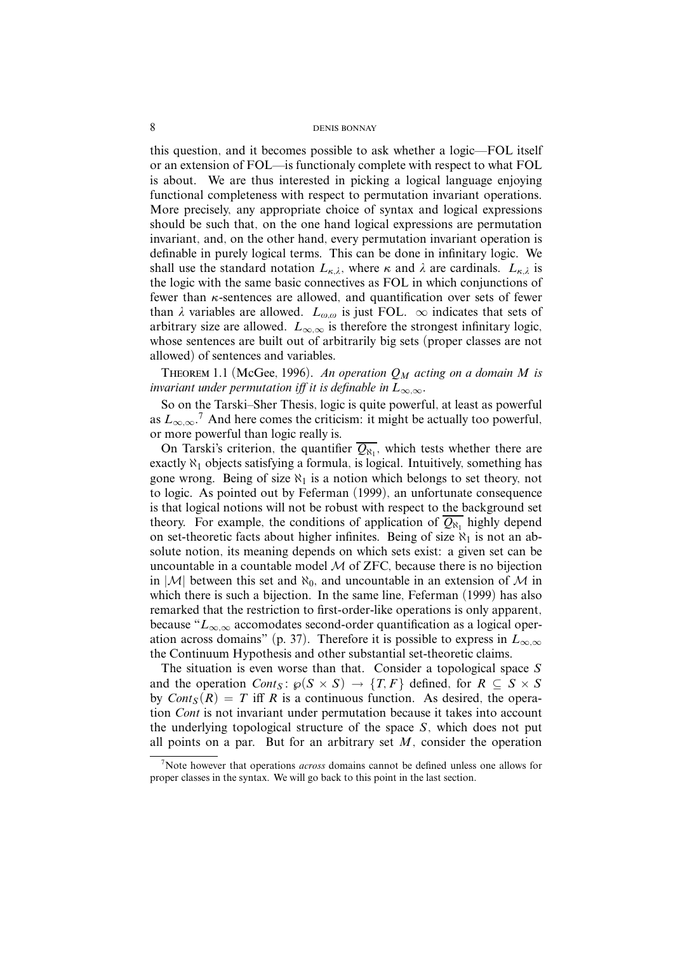this question, and it becomes possible to ask whether a logic—FOL itself or an extension of FOL—is functionaly complete with respect to what FOL is about. We are thus interested in picking a logical language enjoying functional completeness with respect to permutation invariant operations. More precisely, any appropriate choice of syntax and logical expressions should be such that, on the one hand logical expressions are permutation invariant, and, on the other hand, every permutation invariant operation is definable in purely logical terms. This can be done in infinitary logic. We shall use the standard notation  $L_{\kappa\lambda}$ , where  $\kappa$  and  $\lambda$  are cardinals.  $L_{\kappa\lambda}$  is the logic with the same basic connectives as FOL in which conjunctions of fewer than *κ*-sentences are allowed, and quantification over sets of fewer than  $\lambda$  variables are allowed.  $L_{\omega,\omega}$  is just FOL.  $\infty$  indicates that sets of arbitrary size are allowed.  $L_{\infty,\infty}$  is therefore the strongest infinitary logic, whose sentences are built out of arbitrarily big sets (proper classes are not allowed) of sentences and variables.

THEOREM 1.1 (McGee, 1996). An operation  $Q_M$  acting on a domain M is invariant under permutation iff it is definable in  $L_{\infty,\infty}$ .

So on the Tarski–Sher Thesis, logic is quite powerful, at least as powerful as  $L_{\infty,\infty}$ .<sup>7</sup> And here comes the criticism: it might be actually too powerful, or more powerful than logic really is.

On Tarski's criterion, the quantifier  $\overline{Q_{\aleph_1}}$ , which tests whether there are exactly  $\aleph_1$  objects satisfying a formula, is logical. Intuitively, something has gone wrong. Being of size  $\aleph_1$  is a notion which belongs to set theory, not to logic. As pointed out by Feferman (1999), an unfortunate consequence is that logical notions will not be robust with respect to the background set theory. For example, the conditions of application of  $Q_{\aleph_1}$  highly depend on set-theoretic facts about higher infinites. Being of size  $\aleph_1$  is not an absolute notion, its meaning depends on which sets exist: a given set can be uncountable in a countable model  $M$  of ZFC, because there is no bijection in |M| between this set and  $\aleph_0$ , and uncountable in an extension of M in which there is such a bijection. In the same line, Feferman (1999) has also remarked that the restriction to first-order-like operations is only apparent, because " $L_{\infty,\infty}$  accomodates second-order quantification as a logical operation across domains" (p. 37). Therefore it is possible to express in  $L_{\infty,\infty}$ the Continuum Hypothesis and other substantial set-theoretic claims.

The situation is even worse than that. Consider a topological space *S* and the operation *Cont*<sub>*S*</sub>:  $\varphi(S \times S) \rightarrow \{T, F\}$  defined, for  $R \subseteq S \times S$ by  $Cont_S(R) = T$  iff *R* is a continuous function. As desired, the operation *Cont* is not invariant under permutation because it takes into account the underlying topological structure of the space *S*, which does not put all points on a par. But for an arbitrary set *M*, consider the operation

<sup>7</sup>Note however that operations *across* domains cannot be defined unless one allows for proper classes in the syntax. We will go back to this point in the last section.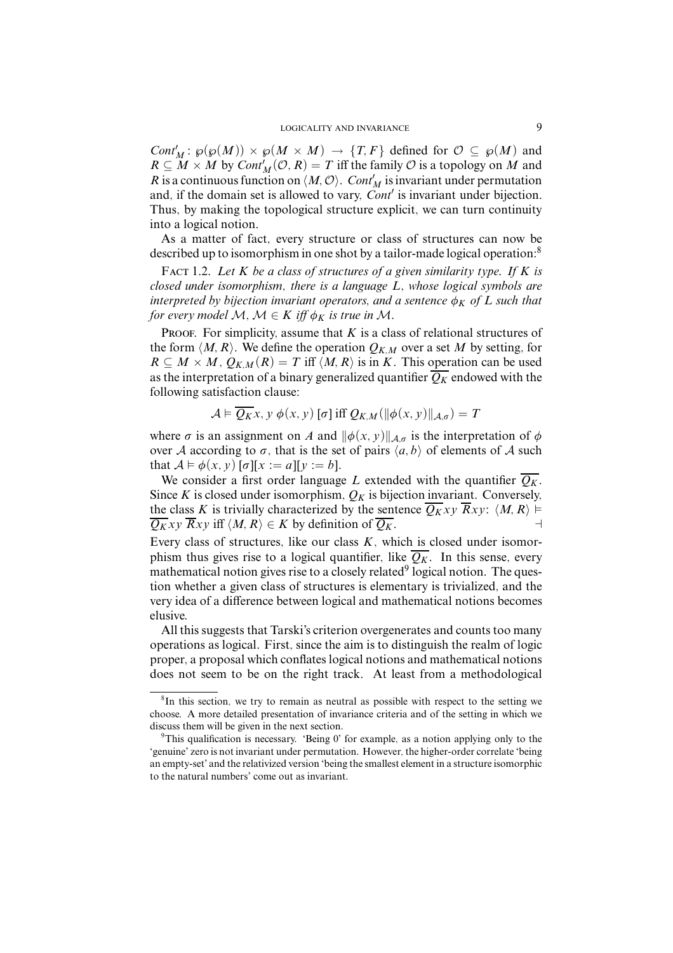$Cont'_M$ :  $\wp(\wp(M)) \times \wp(M \times M) \rightarrow \{T, F\}$  defined for  $\mathcal{O} \subseteq \wp(M)$  and  $R \subseteq M \times M$  by  $Cont_M^{\prime}(\mathcal{O}, R) = T$  iff the family  $\mathcal{O}$  is a topology on *M* and *R* is a continuous function on  $\langle M, O \rangle$ . *Cont*<sup>'</sup><sub>M</sub> is invariant under permutation and, if the domain set is allowed to vary, *Cont*′ is invariant under bijection. Thus, by making the topological structure explicit, we can turn continuity into a logical notion.

As a matter of fact, every structure or class of structures can now be described up to isomorphism in one shot by a tailor-made logical operation:<sup>8</sup>

Fact 1.2. Let *K* be a class of structures of a given similarity type. If *K* is closed under isomorphism, there is a language *L*, whose logical symbols are interpreted by bijection invariant operators, and a sentence  $\phi_K$  of L such that for every model M,  $M \in K$  iff  $\phi_K$  is true in M.

**PROOF.** For simplicity, assume that  $K$  is a class of relational structures of the form  $\langle M, R \rangle$ . We define the operation  $Q_{K,M}$  over a set *M* by setting, for  $R \subseteq M \times M$ ,  $Q_{K,M}(R) = T$  iff  $\langle M, R \rangle$  is in *K*. This operation can be used as the interpretation of a binary generalized quantifier  $\overline{Q_K}$  endowed with the following satisfaction clause:

$$
\mathcal{A} \models \overline{Q_K} x, y \; \phi(x, y) \; [\sigma] \; \text{iff} \; Q_{K,M}(\|\phi(x, y)\|_{\mathcal{A}, \sigma}) = T
$$

where  $\sigma$  is an assignment on *A* and  $\|\phi(x, y)\|_{A,\sigma}$  is the interpretation of  $\phi$ over A according to  $\sigma$ , that is the set of pairs  $\langle a, b \rangle$  of elements of A such that  $A \models \phi(x, y) [\sigma][x := a][y := b].$ 

We consider a first order language *L* extended with the quantifier  $\overline{Q_K}$ . Since *K* is closed under isomorphism,  $Q_K$  is bijection invariant. Conversely, the class *K* is trivially characterized by the sentence  $\overline{Q_K} xy \overline{R} xy$ :  $\langle M, R \rangle \models$  $\overline{Q_K}$ *xy*  $\overline{R}$ *xy* iff  $\langle M, R \rangle \in K$  by definition of  $\overline{Q_K}$ .

Every class of structures, like our class  $K$ , which is closed under isomorphism thus gives rise to a logical quantifier, like  $\overline{Q_K}$ . In this sense, every mathematical notion gives rise to a closely related<sup>9</sup> logical notion. The question whether a given class of structures is elementary is trivialized, and the very idea of a difference between logical and mathematical notions becomes elusive.

All this suggests that Tarski's criterion overgenerates and counts too many operations as logical. First, since the aim is to distinguish the realm of logic proper, a proposal which conflates logical notions and mathematical notions does not seem to be on the right track. At least from a methodological

 ${}^{8}$ In this section, we try to remain as neutral as possible with respect to the setting we choose. A more detailed presentation of invariance criteria and of the setting in which we discuss them will be given in the next section.

<sup>&</sup>lt;sup>9</sup>This qualification is necessary. 'Being 0' for example, as a notion applying only to the 'genuine' zero is not invariant under permutation. However, the higher-order correlate 'being an empty-set' and the relativized version 'being the smallest element in a structure isomorphic to the natural numbers' come out as invariant.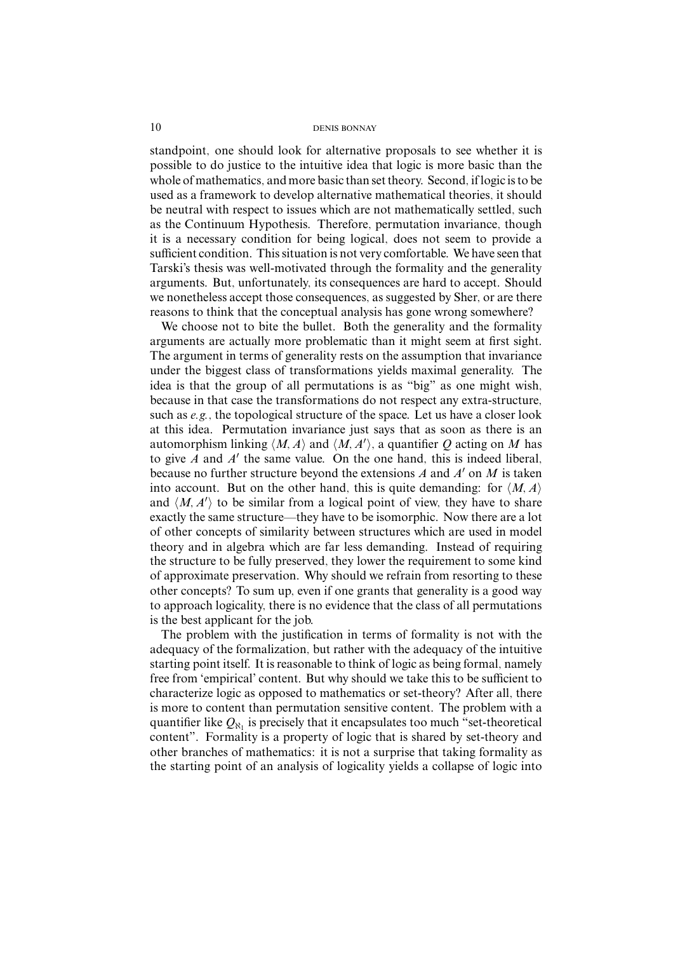standpoint, one should look for alternative proposals to see whether it is possible to do justice to the intuitive idea that logic is more basic than the whole of mathematics, and more basic than set theory. Second, if logic is to be used as a framework to develop alternative mathematical theories, it should be neutral with respect to issues which are not mathematically settled, such as the Continuum Hypothesis. Therefore, permutation invariance, though it is a necessary condition for being logical, does not seem to provide a sufficient condition. This situation is not very comfortable. We have seen that Tarski's thesis was well-motivated through the formality and the generality arguments. But, unfortunately, its consequences are hard to accept. Should we nonetheless accept those consequences, as suggested by Sher, or are there reasons to think that the conceptual analysis has gone wrong somewhere?

We choose not to bite the bullet. Both the generality and the formality arguments are actually more problematic than it might seem at first sight. The argument in terms of generality rests on the assumption that invariance under the biggest class of transformations yields maximal generality. The idea is that the group of all permutations is as "big" as one might wish, because in that case the transformations do not respect any extra-structure, such as *e.g.*, the topological structure of the space. Let us have a closer look at this idea. Permutation invariance just says that as soon as there is an automorphism linking  $\langle M, A \rangle$  and  $\langle M, A' \rangle$ , a quantifier *Q* acting on *M* has to give  $A$  and  $A'$  the same value. On the one hand, this is indeed liberal, because no further structure beyond the extensions *A* and *A*′ on *M* is taken into account. But on the other hand, this is quite demanding: for  $\langle M, A \rangle$ and  $\langle M, A' \rangle$  to be similar from a logical point of view, they have to share exactly the same structure—they have to be isomorphic. Now there are a lot of other concepts of similarity between structures which are used in model theory and in algebra which are far less demanding. Instead of requiring the structure to be fully preserved, they lower the requirement to some kind of approximate preservation. Why should we refrain from resorting to these other concepts? To sum up, even if one grants that generality is a good way to approach logicality, there is no evidence that the class of all permutations is the best applicant for the job.

The problem with the justification in terms of formality is not with the adequacy of the formalization, but rather with the adequacy of the intuitive starting point itself. It is reasonable to think of logic as being formal, namely free from 'empirical' content. But why should we take this to be sufficient to characterize logic as opposed to mathematics or set-theory? After all, there is more to content than permutation sensitive content. The problem with a quantifier like  $Q_{\aleph_1}$  is precisely that it encapsulates too much "set-theoretical content". Formality is a property of logic that is shared by set-theory and other branches of mathematics: it is not a surprise that taking formality as the starting point of an analysis of logicality yields a collapse of logic into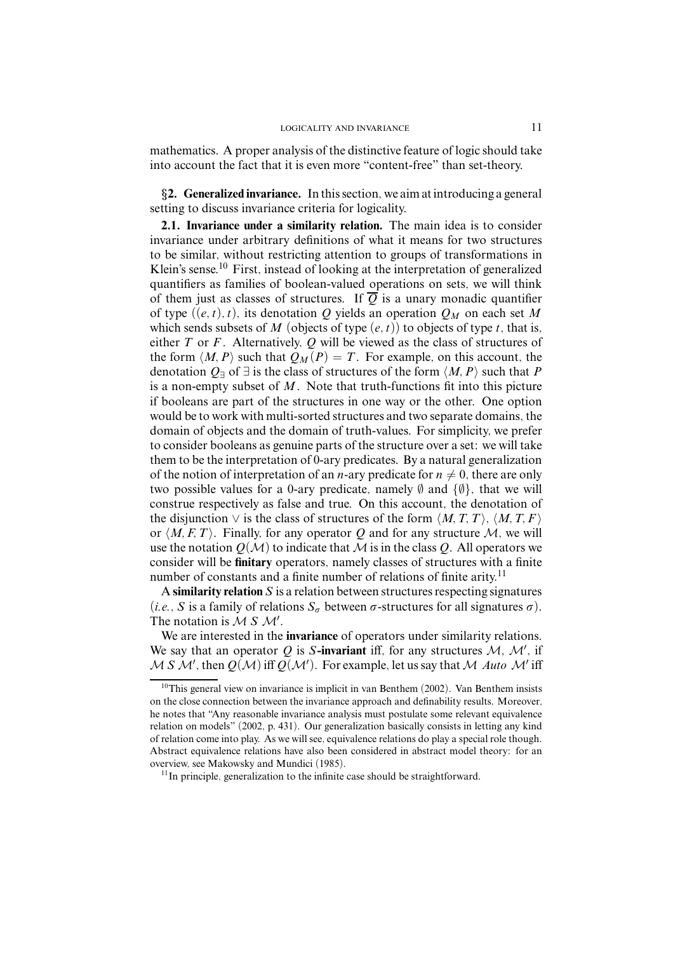mathematics. A proper analysis of the distinctive feature of logic should take into account the fact that it is even more "content-free" than set-theory.

§**2. Generalized invariance.** In this section, we aim at introducing a general setting to discuss invariance criteria for logicality.

**2.1. Invariance under a similarity relation.** The main idea is to consider invariance under arbitrary definitions of what it means for two structures to be similar, without restricting attention to groups of transformations in Klein's sense.<sup>10</sup> First, instead of looking at the interpretation of generalized quantifiers as families of boolean-valued operations on sets, we will think of them just as classes of structures. If  $\overline{Q}$  is a unary monadic quantifier of type  $((e, t), t)$ , its denotation Q yields an operation  $Q_M$  on each set M which sends subsets of *M* (objects of type  $(e, t)$ ) to objects of type *t*, that is, either *T* or *F* . Alternatively, *Q* will be viewed as the class of structures of the form  $\langle M, P \rangle$  such that  $Q_M(P) = T$ . For example, on this account, the denotation  $Q_{\exists}$  of  $\exists$  is the class of structures of the form  $\langle M, P \rangle$  such that *P* is a non-empty subset of *M*. Note that truth-functions fit into this picture if booleans are part of the structures in one way or the other. One option would be to work with multi-sorted structures and two separate domains, the domain of objects and the domain of truth-values. For simplicity, we prefer to consider booleans as genuine parts of the structure over a set: we will take them to be the interpretation of 0-ary predicates. By a natural generalization of the notion of interpretation of an *n*-ary predicate for  $n \neq 0$ , there are only two possible values for a 0-ary predicate, namely  $\emptyset$  and  $\{\emptyset\}$ , that we will construe respectively as false and true. On this account, the denotation of the disjunction  $\vee$  is the class of structures of the form  $\langle M, T, T \rangle$ ,  $\langle M, T, F \rangle$ or  $\langle M, F, T \rangle$ . Finally, for any operator *Q* and for any structure M, we will use the notation  $Q(\mathcal{M})$  to indicate that  $\mathcal M$  is in the class  $Q$ . All operators we consider will be **finitary** operators, namely classes of structures with a finite number of constants and a finite number of relations of finite arity.<sup>11</sup>

A **similarity relation** *S* is a relation between structures respecting signatures (*i.e.*, *S* is a family of relations  $S_{\sigma}$  between  $\sigma$ -structures for all signatures  $\sigma$ ). The notation is  $M S M'$ .

We are interested in the **invariance** of operators under similarity relations. We say that an operator  $Q$  is S-invariant iff, for any structures  $M$ ,  $M'$ , if  $M$  *S*  $M'$ , then  $Q(M)$  iff  $Q(M')$ . For example, let us say that M Auto M' iff

 $10$ This general view on invariance is implicit in van Benthem (2002). Van Benthem insists on the close connection between the invariance approach and definability results. Moreover, he notes that "Any reasonable invariance analysis must postulate some relevant equivalence relation on models" (2002, p. 431). Our generalization basically consists in letting any kind of relation come into play. As we will see, equivalence relations do play a special role though. Abstract equivalence relations have also been considered in abstract model theory: for an overview, see Makowsky and Mundici (1985).

<sup>&</sup>lt;sup>11</sup>In principle, generalization to the infinite case should be straightforward.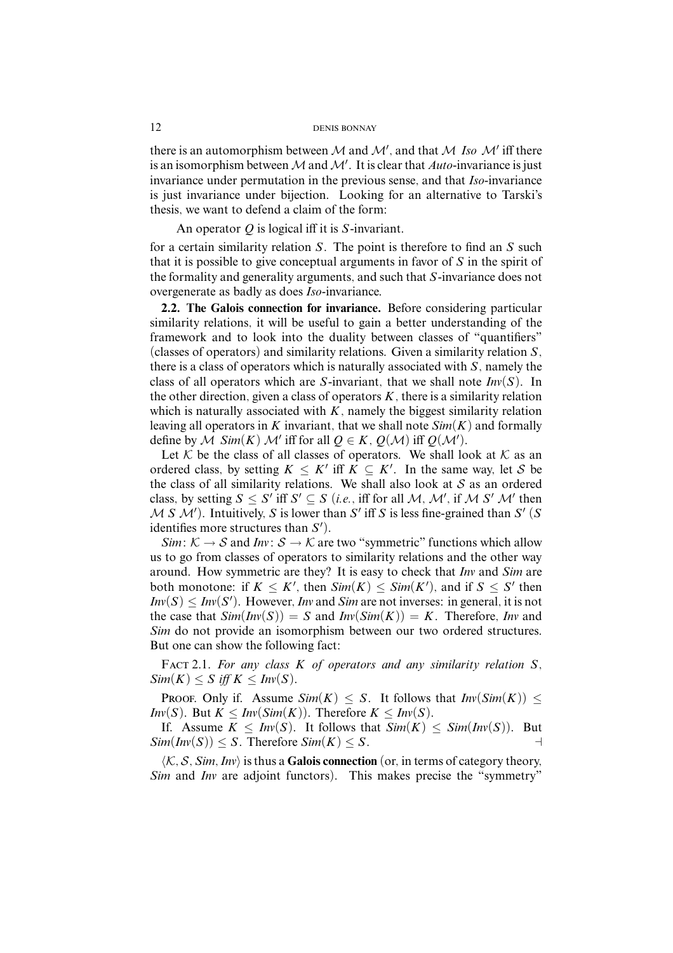there is an automorphism between  $M$  and  $M'$ , and that  $M$  *Iso*  $M'$  iff there is an isomorphism between  $\mathcal M$  and  $\mathcal M'$ . It is clear that  $\mathcal A$ uto-invariance is just invariance under permutation in the previous sense, and that *Iso*-invariance is just invariance under bijection. Looking for an alternative to Tarski's thesis, we want to defend a claim of the form:

An operator *Q* is logical iff it is *S*-invariant.

for a certain similarity relation *S*. The point is therefore to find an *S* such that it is possible to give conceptual arguments in favor of *S* in the spirit of the formality and generality arguments, and such that *S*-invariance does not overgenerate as badly as does *Iso*-invariance.

**2.2. The Galois connection for invariance.** Before considering particular similarity relations, it will be useful to gain a better understanding of the framework and to look into the duality between classes of "quantifiers" (classes of operators) and similarity relations. Given a similarity relation *S*, there is a class of operators which is naturally associated with *S*, namely the class of all operators which are *S*-invariant, that we shall note *Inv*(*S*). In the other direction, given a class of operators  $K$ , there is a similarity relation which is naturally associated with  $K$ , namely the biggest similarity relation leaving all operators in *K* invariant, that we shall note  $Sim(K)$  and formally define by  $\overline{\mathcal{M}}$  *Sim*(*K*)  $\mathcal{M}'$  iff for all  $Q \in K$ ,  $Q(\mathcal{M})$  iff  $Q(\mathcal{M}')$ .

Let  $K$  be the class of all classes of operators. We shall look at  $K$  as an ordered class, by setting  $K \leq K'$  iff  $K \subseteq K'$ . In the same way, let S be the class of all similarity relations. We shall also look at  $S$  as an ordered class, by setting  $S \leq S'$  iff  $S' \subseteq S$  (*i.e.*, iff for all M, M', if M S' M' then  $M S M'$ ). Intuitively, *S* is lower than *S'* iff *S* is less fine-grained than *S'* (*S* identifies more structures than *S* ′ ).

*Sim*:  $K \rightarrow S$  and *Inv*:  $S \rightarrow K$  are two "symmetric" functions which allow us to go from classes of operators to similarity relations and the other way around. How symmetric are they? It is easy to check that *Inv* and *Sim* are both monotone: if  $K \leq K'$ , then  $Sim(K) \leq Sim(K')$ , and if  $S \leq S'$  then  $Inv(S) \leq Inv(S')$ . However, *Inv* and *Sim* are not inverses: in general, it is not the case that  $Sim(Inv(S)) = S$  and  $Inv(Sim(K)) = K$ . Therefore, *Inv* and *Sim* do not provide an isomorphism between our two ordered structures. But one can show the following fact:

Fact 2.1. For any class *K* of operators and any similarity relation *S*,  $Sim(K) \leq S$  *iff*  $K \leq Inv(S)$ .

PROOF. Only if. Assume  $Sim(K) \leq S$ . It follows that  $Inv(Sim(K)) \leq$ *Inv*(*S*). But  $K \leq Inv(Sim(K))$ . Therefore  $K \leq Inv(S)$ .

If. Assume  $K \leq Inv(S)$ . It follows that  $Sim(K) \leq Sim(Inv(S))$ . But  $Sim(Iniv(S)) \leq S$ . Therefore  $Sim(K) \leq S$ .

 $\langle K, S, Sim, Inv \rangle$  is thus a **Galois connection** (or, in terms of category theory, *Sim* and *Inv* are adjoint functors). This makes precise the "symmetry"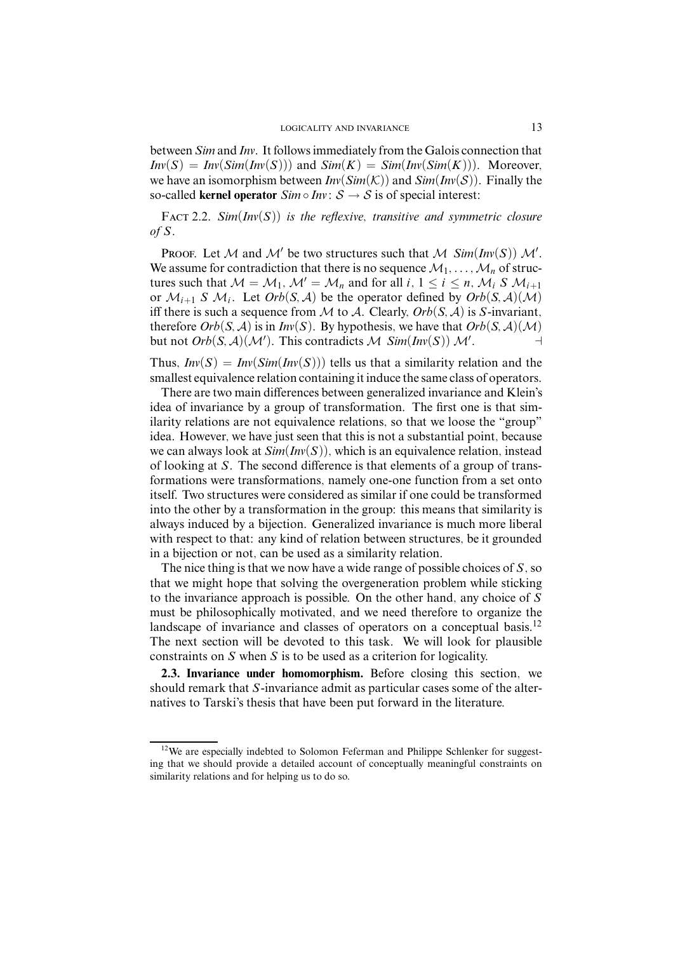between *Sim* and *Inv*. It follows immediately from the Galois connection that  $Inv(S) = Inv(Sim(Inv(S)))$  and  $Sim(K) = Sim(Inv(Sim(K)))$ . Moreover, we have an isomorphism between  $Inv(Sim(K))$  and  $Sim(Inv(S))$ . Finally the so-called **kernel operator**  $Sim \circ Inv : S \rightarrow S$  is of special interest:

FACT 2.2.  $Sim(Inv(S))$  is the reflexive, transitive and symmetric closure of *S*.

PROOF. Let M and M' be two structures such that M  $Sim(\text{Inv}(S))$  M'. We assume for contradiction that there is no sequence  $M_1, \ldots, M_n$  of structures such that  $M = M_1$ ,  $M' = M_n$  and for all *i*,  $1 \le i \le n$ ,  $M_i$  *S*  $M_{i+1}$ or  $\mathcal{M}_{i+1}$  *S*  $\mathcal{M}_i$ . Let *Orb*(*S*, *A*) be the operator defined by *Orb*(*S*, *A*)(*M*) iff there is such a sequence from  $M$  to  $A$ . Clearly,  $Orb(S, A)$  is *S*-invariant, therefore  $Orb(S, A)$  is in  $Inv(S)$ . By hypothesis, we have that  $Orb(S, A)(M)$ but not  $Orb(S, A)(\mathcal{M}')$ . This contradicts  $\mathcal M$  *Sim*(*Inv*(*S*))  $\mathcal M'$ . ⊣

Thus,  $Inv(S) = Inv(Sim(Inv(S)))$  tells us that a similarity relation and the smallest equivalence relation containing it induce the same class of operators.

There are two main differences between generalized invariance and Klein's idea of invariance by a group of transformation. The first one is that similarity relations are not equivalence relations, so that we loose the "group" idea. However, we have just seen that this is not a substantial point, because we can always look at *Sim*(*Inv*(*S*)), which is an equivalence relation, instead of looking at *S*. The second difference is that elements of a group of transformations were transformations, namely one-one function from a set onto itself. Two structures were considered as similar if one could be transformed into the other by a transformation in the group: this means that similarity is always induced by a bijection. Generalized invariance is much more liberal with respect to that: any kind of relation between structures, be it grounded in a bijection or not, can be used as a similarity relation.

The nice thing is that we now have a wide range of possible choices of *S*, so that we might hope that solving the overgeneration problem while sticking to the invariance approach is possible. On the other hand, any choice of *S* must be philosophically motivated, and we need therefore to organize the landscape of invariance and classes of operators on a conceptual basis.<sup>12</sup> The next section will be devoted to this task. We will look for plausible constraints on *S* when *S* is to be used as a criterion for logicality.

**2.3. Invariance under homomorphism.** Before closing this section, we should remark that *S*-invariance admit as particular cases some of the alternatives to Tarski's thesis that have been put forward in the literature.

<sup>&</sup>lt;sup>12</sup>We are especially indebted to Solomon Feferman and Philippe Schlenker for suggesting that we should provide a detailed account of conceptually meaningful constraints on similarity relations and for helping us to do so.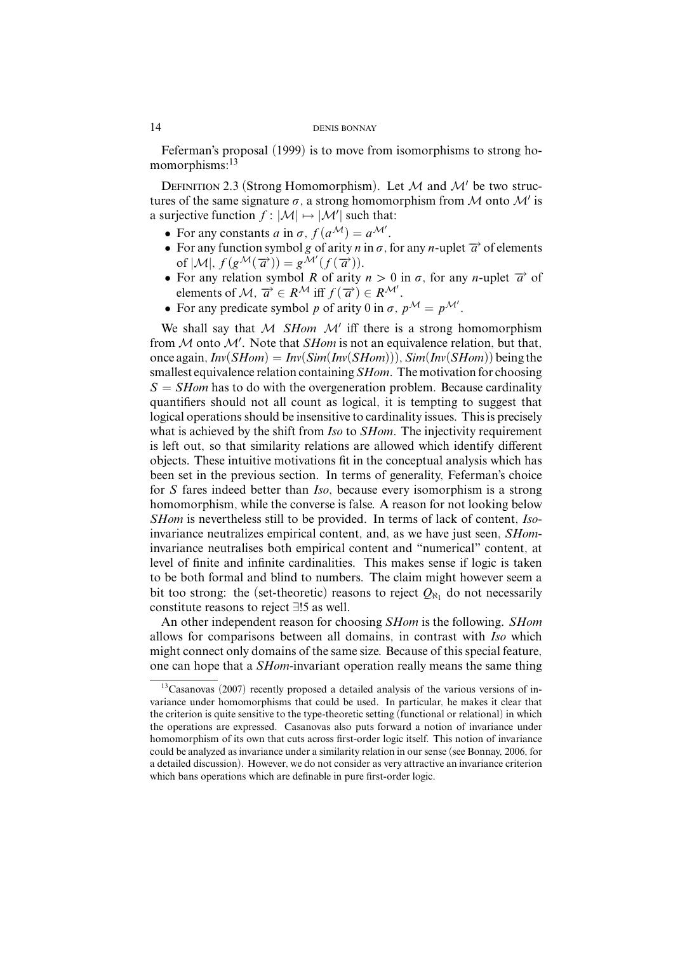Feferman's proposal (1999) is to move from isomorphisms to strong homomorphisms:<sup>13</sup>

DEFINITION 2.3 (Strong Homomorphism). Let  $M$  and  $M'$  be two structures of the same signature  $\sigma$ , a strong homomorphism from M onto M' is a surjective function  $f : |\mathcal{M}| \mapsto |\mathcal{M}'|$  such that:

- For any constants *a* in  $\sigma$ ,  $f(a^{\mathcal{M}}) = a^{\mathcal{M}'}$ .
- For any function symbol *g* of arity *n* in  $\sigma$ , for any *n*-uplet  $\overrightarrow{a}$  of elements of  $|\mathcal{M}|$ ,  $f(g^{\mathcal{M}}(\overrightarrow{a})) = g^{\mathcal{M}'}(f(\overrightarrow{a})).$
- For any relation symbol *R* of arity  $n > 0$  in  $\sigma$ , for any *n*-uplet  $\vec{a}$  of elements of  $M$ ,  $\overrightarrow{a} \in R^{\mathcal{M}}$  iff  $f(\overrightarrow{a}) \in R^{\mathcal{M}'}$ .
- For any predicate symbol p of arity 0 in  $\sigma$ ,  $p^{\mathcal{M}} = p^{\mathcal{M}}'$ .

We shall say that M SHom M' iff there is a strong homomorphism from M onto M'. Note that *SHom* is not an equivalence relation, but that, once again,  $Inv(SHom) = Inv(Sim(Inv(SHom)))$ ,  $Sim(Inv(SHom))$  being the smallest equivalence relation containing*SHom*. The motivation for choosing *S* = *SHom* has to do with the overgeneration problem. Because cardinality quantifiers should not all count as logical, it is tempting to suggest that logical operations should be insensitive to cardinality issues. This is precisely what is achieved by the shift from *Iso* to *SHom*. The injectivity requirement is left out, so that similarity relations are allowed which identify different objects. These intuitive motivations fit in the conceptual analysis which has been set in the previous section. In terms of generality, Feferman's choice for *S* fares indeed better than *Iso*, because every isomorphism is a strong homomorphism, while the converse is false. A reason for not looking below *SHom* is nevertheless still to be provided. In terms of lack of content, *Iso*invariance neutralizes empirical content, and, as we have just seen, *SHom*invariance neutralises both empirical content and "numerical" content, at level of finite and infinite cardinalities. This makes sense if logic is taken to be both formal and blind to numbers. The claim might however seem a bit too strong: the (set-theoretic) reasons to reject  $Q_{\aleph_1}$  do not necessarily constitute reasons to reject ∃!5 as well.

An other independent reason for choosing *SHom* is the following. *SHom* allows for comparisons between all domains, in contrast with *Iso* which might connect only domains of the same size. Because of this special feature, one can hope that a *SHom*-invariant operation really means the same thing

 $13$ Casanovas (2007) recently proposed a detailed analysis of the various versions of invariance under homomorphisms that could be used. In particular, he makes it clear that the criterion is quite sensitive to the type-theoretic setting (functional or relational) in which the operations are expressed. Casanovas also puts forward a notion of invariance under homomorphism of its own that cuts across first-order logic itself. This notion of invariance could be analyzed as invariance under a similarity relation in our sense (see Bonnay, 2006, for a detailed discussion). However, we do not consider as very attractive an invariance criterion which bans operations which are definable in pure first-order logic.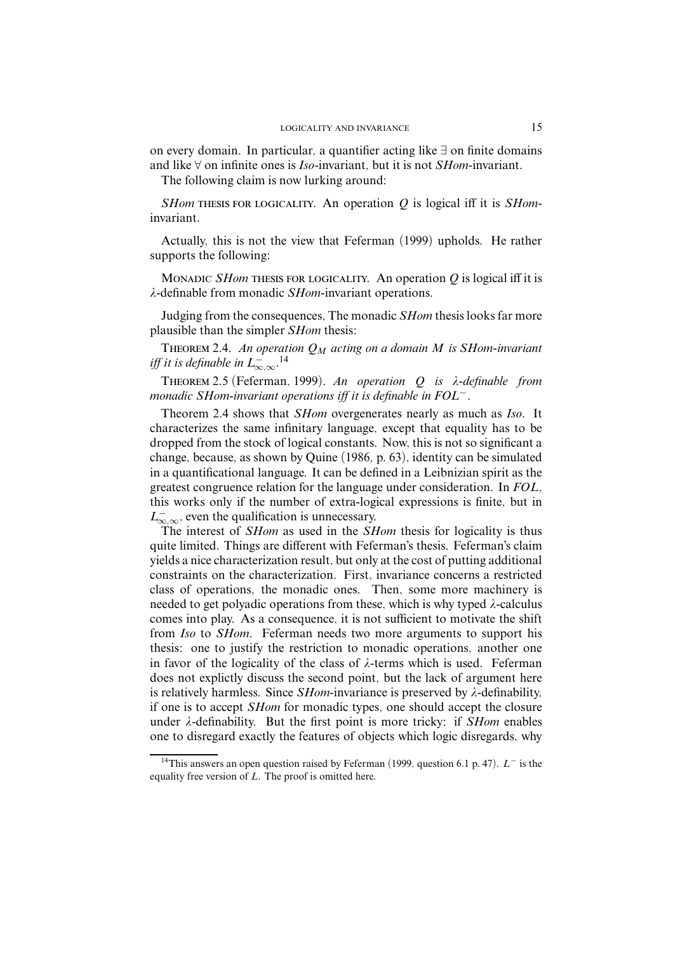on every domain. In particular, a quantifier acting like ∃ on finite domains and like ∀ on infinite ones is *Iso*-invariant, but it is not *SHom*-invariant.

The following claim is now lurking around:

*SHom* thesis for logicality. An operation *Q* is logical iff it is *SHom*invariant.

Actually, this is not the view that Feferman (1999) upholds. He rather supports the following:

Monadic *SHom* THESIS FOR LOGICALITY. An operation  $Q$  is logical iff it is *ë*-definable from monadic *SHom*-invariant operations.

Judging from the consequences, The monadic *SHom* thesis looks far more plausible than the simpler *SHom* thesis:

THEOREM 2.4. An operation  $Q_M$  acting on a domain  $M$  is SHom-invariant iff it is definable in  $L^{-}_{\infty,\infty}$ .<sup>14</sup>

THEOREM 2.5 (Feferman, 1999). An operation *Q* is  $\lambda$ -definable from monadic *SHom*-invariant operations iff it is definable in FOL−.

Theorem 2.4 shows that *SHom* overgenerates nearly as much as *Iso*. It characterizes the same infinitary language, except that equality has to be dropped from the stock of logical constants. Now, this is not so significant a change, because, as shown by Quine (1986, p. 63), identity can be simulated in a quantificational language. It can be defined in a Leibnizian spirit as the greatest congruence relation for the language under consideration. In *FOL*, this works only if the number of extra-logical expressions is finite, but in  $L_{\infty,\infty}^-$ , even the qualification is unnecessary.

The interest of *SHom* as used in the *SHom* thesis for logicality is thus quite limited. Things are different with Feferman's thesis. Feferman's claim yields a nice characterization result, but only at the cost of putting additional constraints on the characterization. First, invariance concerns a restricted class of operations, the monadic ones. Then, some more machinery is needed to get polyadic operations from these, which is why typed  $\lambda$ -calculus comes into play. As a consequence, it is not sufficient to motivate the shift from *Iso* to *SHom*. Feferman needs two more arguments to support his thesis: one to justify the restriction to monadic operations, another one in favor of the logicality of the class of  $\lambda$ -terms which is used. Feferman does not explictly discuss the second point, but the lack of argument here is relatively harmless. Since  $SHom$ -invariance is preserved by  $\lambda$ -definability, if one is to accept *SHom* for monadic types, one should accept the closure under *ë*-definability. But the first point is more tricky: if *SHom* enables one to disregard exactly the features of objects which logic disregards, why

<sup>&</sup>lt;sup>14</sup>This answers an open question raised by Feferman (1999, question 6.1 p. 47). *L*<sup>-</sup> is the equality free version of *L*. The proof is omitted here.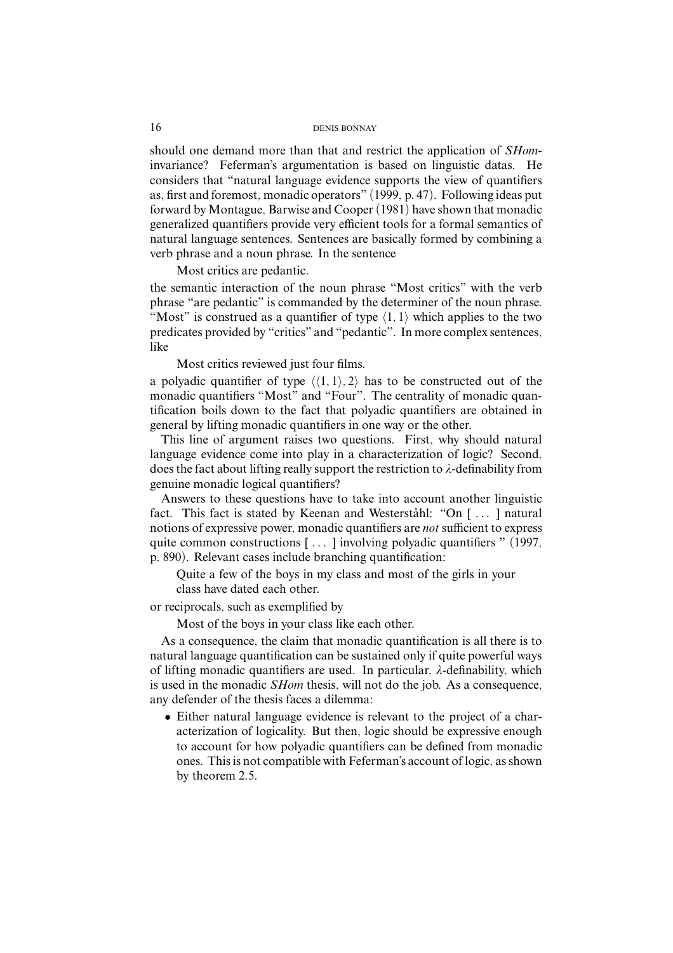should one demand more than that and restrict the application of *SHom*invariance? Feferman's argumentation is based on linguistic datas. He considers that "natural language evidence supports the view of quantifiers as, first and foremost, monadic operators" (1999, p. 47). Following ideas put forward by Montague, Barwise and Cooper (1981) have shown that monadic generalized quantifiers provide very efficient tools for a formal semantics of natural language sentences. Sentences are basically formed by combining a verb phrase and a noun phrase. In the sentence

Most critics are pedantic.

the semantic interaction of the noun phrase "Most critics" with the verb phrase "are pedantic" is commanded by the determiner of the noun phrase. "Most" is construed as a quantifier of type  $\langle 1, 1 \rangle$  which applies to the two predicates provided by "critics" and "pedantic". In more complex sentences, like

Most critics reviewed just four films.

a polyadic quantifier of type  $\langle (1,1), 2 \rangle$  has to be constructed out of the monadic quantifiers "Most" and "Four". The centrality of monadic quantification boils down to the fact that polyadic quantifiers are obtained in general by lifting monadic quantifiers in one way or the other.

This line of argument raises two questions. First, why should natural language evidence come into play in a characterization of logic? Second, does the fact about lifting really support the restriction to  $\lambda$ -definability from genuine monadic logical quantifiers?

Answers to these questions have to take into account another linguistic fact. This fact is stated by Keenan and Westerståhl: "On [...] natural notions of expressive power, monadic quantifiers are *not* sufficient to express quite common constructions [ *. . .* ] involving polyadic quantifiers " (1997, p. 890). Relevant cases include branching quantification:

Quite a few of the boys in my class and most of the girls in your class have dated each other.

or reciprocals, such as exemplified by

Most of the boys in your class like each other.

As a consequence, the claim that monadic quantification is all there is to natural language quantification can be sustained only if quite powerful ways of lifting monadic quantifiers are used. In particular, *ë*-definability, which is used in the monadic *SHom* thesis, will not do the job. As a consequence, any defender of the thesis faces a dilemma:

• Either natural language evidence is relevant to the project of a characterization of logicality. But then, logic should be expressive enough to account for how polyadic quantifiers can be defined from monadic ones. This is not compatible with Feferman's account of logic, as shown by theorem 2.5.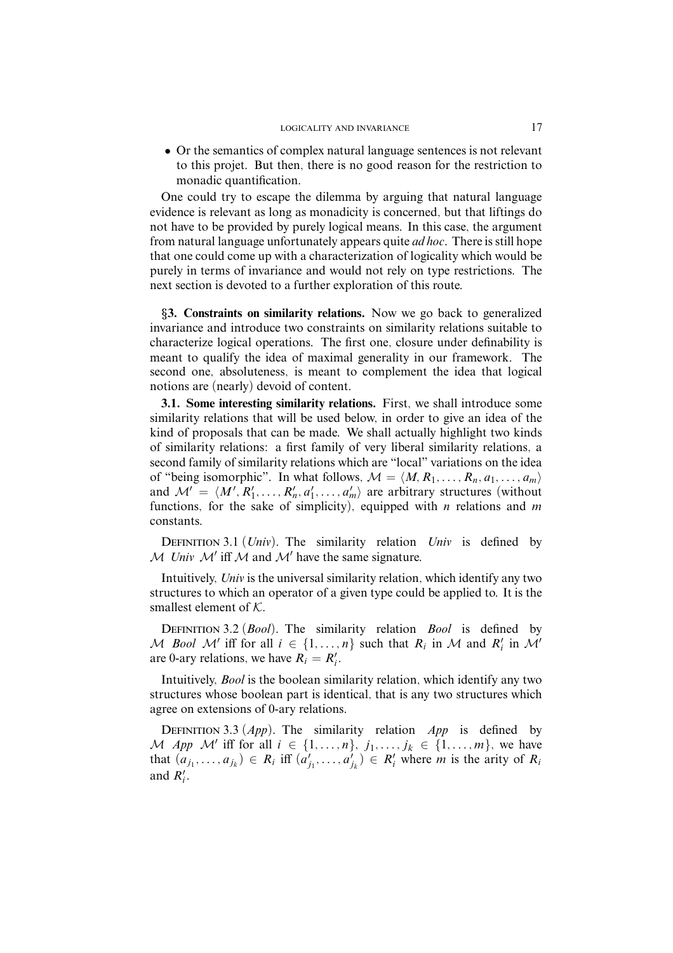• Or the semantics of complex natural language sentences is not relevant to this projet. But then, there is no good reason for the restriction to monadic quantification.

One could try to escape the dilemma by arguing that natural language evidence is relevant as long as monadicity is concerned, but that liftings do not have to be provided by purely logical means. In this case, the argument from natural language unfortunately appears quite *ad hoc*. There is still hope that one could come up with a characterization of logicality which would be purely in terms of invariance and would not rely on type restrictions. The next section is devoted to a further exploration of this route.

§**3. Constraints on similarity relations.** Now we go back to generalized invariance and introduce two constraints on similarity relations suitable to characterize logical operations. The first one, closure under definability is meant to qualify the idea of maximal generality in our framework. The second one, absoluteness, is meant to complement the idea that logical notions are (nearly) devoid of content.

**3.1. Some interesting similarity relations.** First, we shall introduce some similarity relations that will be used below, in order to give an idea of the kind of proposals that can be made. We shall actually highlight two kinds of similarity relations: a first family of very liberal similarity relations, a second family of similarity relations which are "local" variations on the idea of "being isomorphic". In what follows,  $\mathcal{M} = \langle M, R_1, \ldots, R_n, a_1, \ldots, a_m \rangle$ and  $\mathcal{M}' = \langle M', R'_1, \dots, R'_n, a'_1, \dots, a'_m \rangle$  are arbitrary structures (without functions, for the sake of simplicity), equipped with *n* relations and *m* constants.

DEFINITION 3.1 (*Univ*). The similarity relation *Univ* is defined by  $M$  *Univ*  $M'$  iff  $M$  and  $M'$  have the same signature.

Intuitively, *Univ* is the universal similarity relation, which identify any two structures to which an operator of a given type could be applied to. It is the smallest element of  $K$ .

Definition 3.2 (*Bool*). The similarity relation *Bool* is defined by M *Bool* M' iff for all  $i \in \{1, ..., n\}$  such that  $R_i$  in M and  $R'_i$  in M' are 0-ary relations, we have  $R_i = R'_i$ .

Intuitively, *Bool* is the boolean similarity relation, which identify any two structures whose boolean part is identical, that is any two structures which agree on extensions of 0-ary relations.

DEFINITION 3.3  $(App)$ . The similarity relation  $App$  is defined by M App M' iff for all  $i \in \{1, \ldots, n\}$ ,  $j_1, \ldots, j_k \in \{1, \ldots, m\}$ , we have that  $(a_{j_1}, \ldots, a_{j_k}) \in R_i$  iff  $(a'_{j_1}, \ldots, a'_{j_k}) \in R'_i$  where *m* is the arity of  $R_i$ and  $R'_i$ .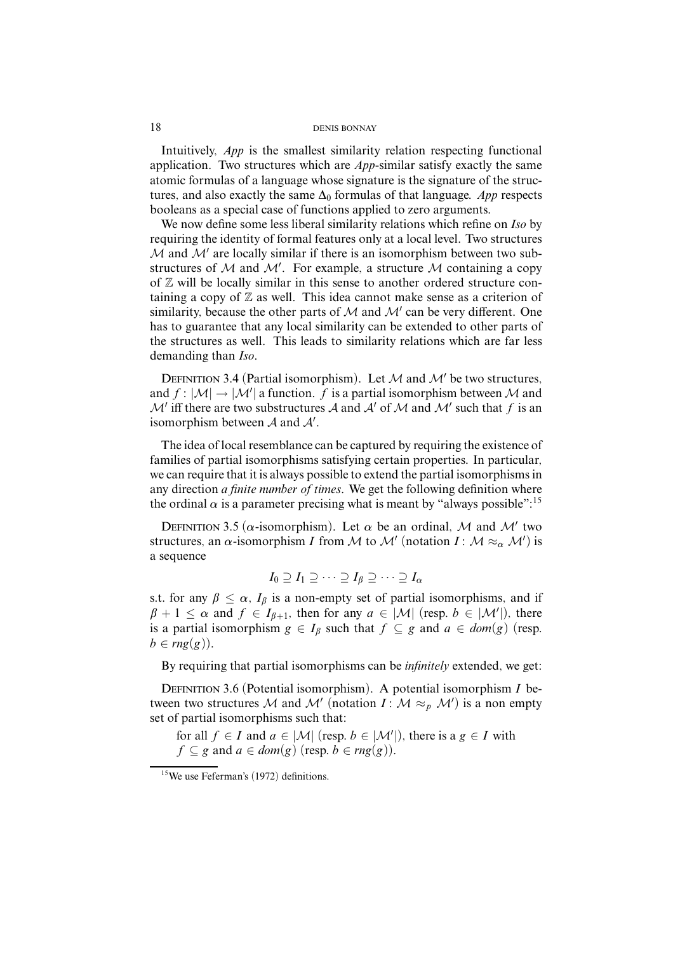Intuitively, *App* is the smallest similarity relation respecting functional application. Two structures which are *App*-similar satisfy exactly the same atomic formulas of a language whose signature is the signature of the structures, and also exactly the same  $\Delta_0$  formulas of that language. *App* respects booleans as a special case of functions applied to zero arguments.

We now define some less liberal similarity relations which refine on *Iso* by requiring the identity of formal features only at a local level. Two structures  $M$  and  $M'$  are locally similar if there is an isomorphism between two substructures of  $M$  and  $M'$ . For example, a structure  $M$  containing a copy of  $\mathbb Z$  will be locally similar in this sense to another ordered structure containing a copy of  $\mathbb Z$  as well. This idea cannot make sense as a criterion of similarity, because the other parts of  $M$  and  $M'$  can be very different. One has to guarantee that any local similarity can be extended to other parts of the structures as well. This leads to similarity relations which are far less demanding than *Iso*.

DEFINITION 3.4 (Partial isomorphism). Let  $M$  and  $M'$  be two structures, and  $f : |\mathcal{M}| \to |\mathcal{M}'|$  a function. *f* is a partial isomorphism between M and  $\mathcal{M}'$  iff there are two substructures  $\mathcal{A}$  and  $\mathcal{A}'$  of  $\mathcal{M}$  and  $\mathcal{M}'$  such that  $f$  is an isomorphism between  $A$  and  $A'$ .

The idea of local resemblance can be captured by requiring the existence of families of partial isomorphisms satisfying certain properties. In particular, we can require that it is always possible to extend the partial isomorphisms in any direction *a finite number of times*. We get the following definition where the ordinal  $\alpha$  is a parameter precising what is meant by "always possible":<sup>15</sup>

DEFINITION 3.5 ( $\alpha$ -isomorphism). Let  $\alpha$  be an ordinal, M and M' two structures, an  $\alpha$ -isomorphism *I* from *M* to *M'* (notation *I* :  $M \approx_{\alpha} M'$ ) is a sequence

$$
I_0 \supseteq I_1 \supseteq \cdots \supseteq I_\beta \supseteq \cdots \supseteq I_\alpha
$$

s.t. for any  $\beta \leq \alpha$ ,  $I_{\beta}$  is a non-empty set of partial isomorphisms, and if  $\beta + 1 \leq \alpha$  and  $f \in I_{\beta+1}$ , then for any  $a \in |\mathcal{M}|$  (resp.  $b \in |\mathcal{M}'|$ ), there is a partial isomorphism  $g \in I_\beta$  such that  $f \subseteq g$  and  $a \in dom(g)$  (resp.  $b \in rng(g)).$ 

By requiring that partial isomorphisms can be *infinitely* extended, we get:

DEFINITION 3.6 (Potential isomorphism). A potential isomorphism *I* between two structures M and M' (notation  $I: \mathcal{M} \approx_{p} \mathcal{M}'$ ) is a non empty set of partial isomorphisms such that:

for all  $f \in I$  and  $a \in |M|$  (resp.  $b \in |M'|$ ), there is a  $g \in I$  with *f* ⊆ *g* and *a* ∈ *dom*(*g*) (resp. *b* ∈ *rng*(*g*)).

 $15$ We use Feferman's (1972) definitions.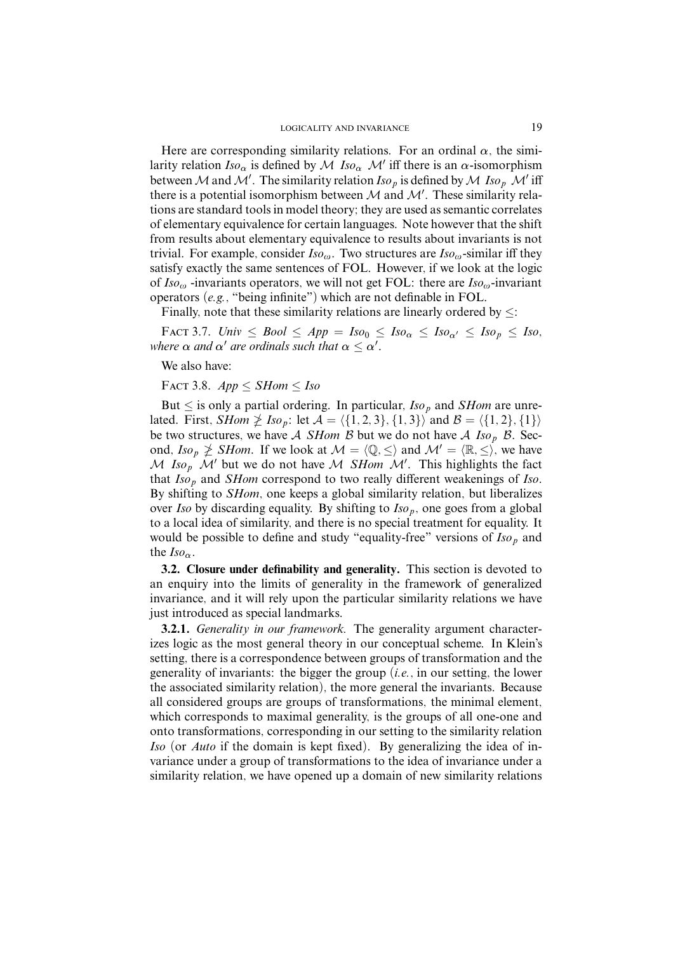Here are corresponding similarity relations. For an ordinal  $\alpha$ , the similarity relation  $Iso_\alpha$  is defined by  $\mathcal M$  *Iso*<sub> $\alpha$ </sub>  $\mathcal M'$  iff there is an  $\alpha$ -isomorphism between M and M'. The similarity relation  $Iso_p$  is defined by M  $Iso_p \mathcal{M}'$  iff there is a potential isomorphism between  $\mathcal M$  and  $\mathcal M'$ . These similarity relations are standard tools in model theory; they are used as semantic correlates of elementary equivalence for certain languages. Note however that the shift from results about elementary equivalence to results about invariants is not trivial. For example, consider  $Iso_{\omega}$ . Two structures are  $Iso_{\omega}$ -similar iff they satisfy exactly the same sentences of FOL. However, if we look at the logic of *Iso<sup>ù</sup>* -invariants operators, we will not get FOL: there are *Isoù*-invariant operators (*e.g.*, "being infinite") which are not definable in FOL.

Finally, note that these similarity relations are linearly ordered by  $\leq$ :

FACT 3.7. *Univ*  $\leq$  *Bool*  $\leq$  *App* = *Iso*<sub>0</sub>  $\leq$  *Iso*<sub> $\alpha$ </sub>  $\leq$  *Iso*<sub>*a'*</sub>  $\leq$  *Iso*<sub>*p*</sub>  $\leq$  *Iso*, where  $\alpha$  and  $\alpha'$  are ordinals such that  $\alpha \leq \alpha'$ .

We also have:

FACT 3.8.  $App \leq SHom \leq Iso$ 

But  $\leq$  is only a partial ordering. In particular, *Iso<sub>p</sub>* and *SHom* are unrelated. First, *SHom*  $\ngeq$  *Iso<sub>p</sub>*: let  $\mathcal{A} = \{\{1, 2, 3\}, \{1, 3\}\}\$  and  $\mathcal{B} = \{\{1, 2\}, \{1\}\}\$ be two structures, we have A *SHom* B but we do not have A *Iso<sup>p</sup>* B. Second,  $Iso_p \not\geq SHom$ . If we look at  $\mathcal{M} = \langle \mathbb{Q}, \leq \rangle$  and  $\mathcal{M}' = \langle \mathbb{R}, \leq \rangle$ , we have M  $\text{Iso}_{p}^{\dagger}$  M' but we do not have M *SHom* M'. This highlights the fact that *Iso<sup>p</sup>* and *SHom* correspond to two really different weakenings of *Iso*. By shifting to *SHom*, one keeps a global similarity relation, but liberalizes over *Iso* by discarding equality. By shifting to *Isop*, one goes from a global to a local idea of similarity, and there is no special treatment for equality. It would be possible to define and study "equality-free" versions of *Iso<sup>p</sup>* and the  $Iso_{\alpha}$ .

**3.2. Closure under definability and generality.** This section is devoted to an enquiry into the limits of generality in the framework of generalized invariance, and it will rely upon the particular similarity relations we have just introduced as special landmarks.

**3.2.1.** *Generality in our framework.* The generality argument characterizes logic as the most general theory in our conceptual scheme. In Klein's setting, there is a correspondence between groups of transformation and the generality of invariants: the bigger the group (*i.e.*, in our setting, the lower the associated similarity relation), the more general the invariants. Because all considered groups are groups of transformations, the minimal element, which corresponds to maximal generality, is the groups of all one-one and onto transformations, corresponding in our setting to the similarity relation *Iso* (or *Auto* if the domain is kept fixed). By generalizing the idea of invariance under a group of transformations to the idea of invariance under a similarity relation, we have opened up a domain of new similarity relations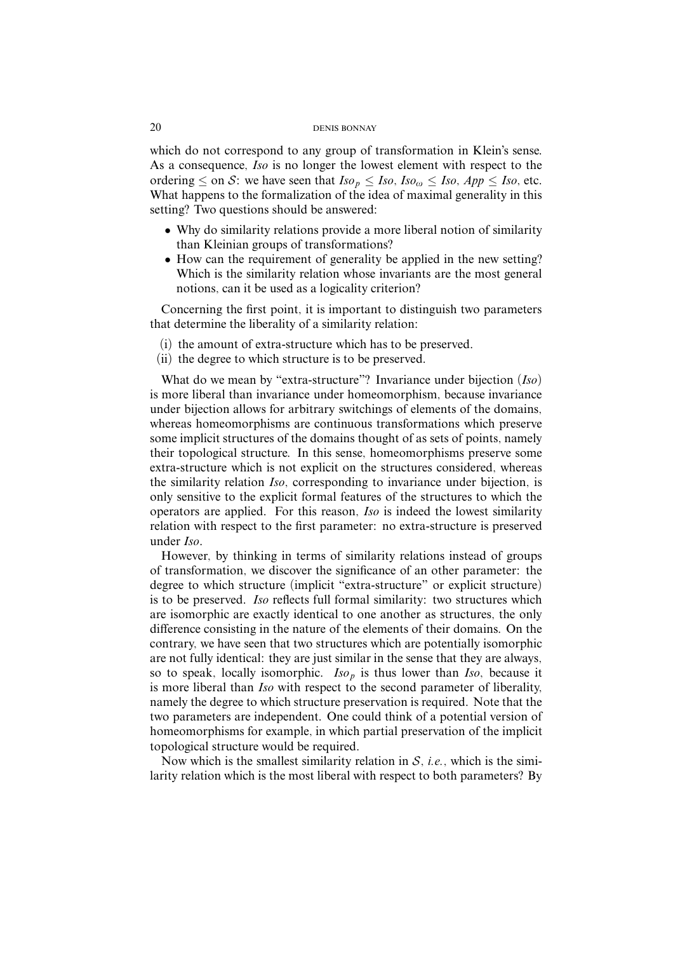which do not correspond to any group of transformation in Klein's sense. As a consequence, *Iso* is no longer the lowest element with respect to the ordering  $\leq$  on S: we have seen that  $\text{Iso}_{p} \leq \text{Iso}, \text{Iso}_{\omega} \leq \text{Iso}, \text{App} \leq \text{Iso}, \text{etc.}$ What happens to the formalization of the idea of maximal generality in this setting? Two questions should be answered:

- Why do similarity relations provide a more liberal notion of similarity than Kleinian groups of transformations?
- How can the requirement of generality be applied in the new setting? Which is the similarity relation whose invariants are the most general notions, can it be used as a logicality criterion?

Concerning the first point, it is important to distinguish two parameters that determine the liberality of a similarity relation:

- (i) the amount of extra-structure which has to be preserved.
- (ii) the degree to which structure is to be preserved.

What do we mean by "extra-structure"? Invariance under bijection (*Iso*) is more liberal than invariance under homeomorphism, because invariance under bijection allows for arbitrary switchings of elements of the domains, whereas homeomorphisms are continuous transformations which preserve some implicit structures of the domains thought of as sets of points, namely their topological structure. In this sense, homeomorphisms preserve some extra-structure which is not explicit on the structures considered, whereas the similarity relation *Iso*, corresponding to invariance under bijection, is only sensitive to the explicit formal features of the structures to which the operators are applied. For this reason, *Iso* is indeed the lowest similarity relation with respect to the first parameter: no extra-structure is preserved under *Iso*.

However, by thinking in terms of similarity relations instead of groups of transformation, we discover the significance of an other parameter: the degree to which structure (implicit "extra-structure" or explicit structure) is to be preserved. *Iso* reflects full formal similarity: two structures which are isomorphic are exactly identical to one another as structures, the only difference consisting in the nature of the elements of their domains. On the contrary, we have seen that two structures which are potentially isomorphic are not fully identical: they are just similar in the sense that they are always, so to speak, locally isomorphic. *Iso<sup>p</sup>* is thus lower than *Iso*, because it is more liberal than *Iso* with respect to the second parameter of liberality, namely the degree to which structure preservation is required. Note that the two parameters are independent. One could think of a potential version of homeomorphisms for example, in which partial preservation of the implicit topological structure would be required.

Now which is the smallest similarity relation in S, *i.e.*, which is the similarity relation which is the most liberal with respect to both parameters? By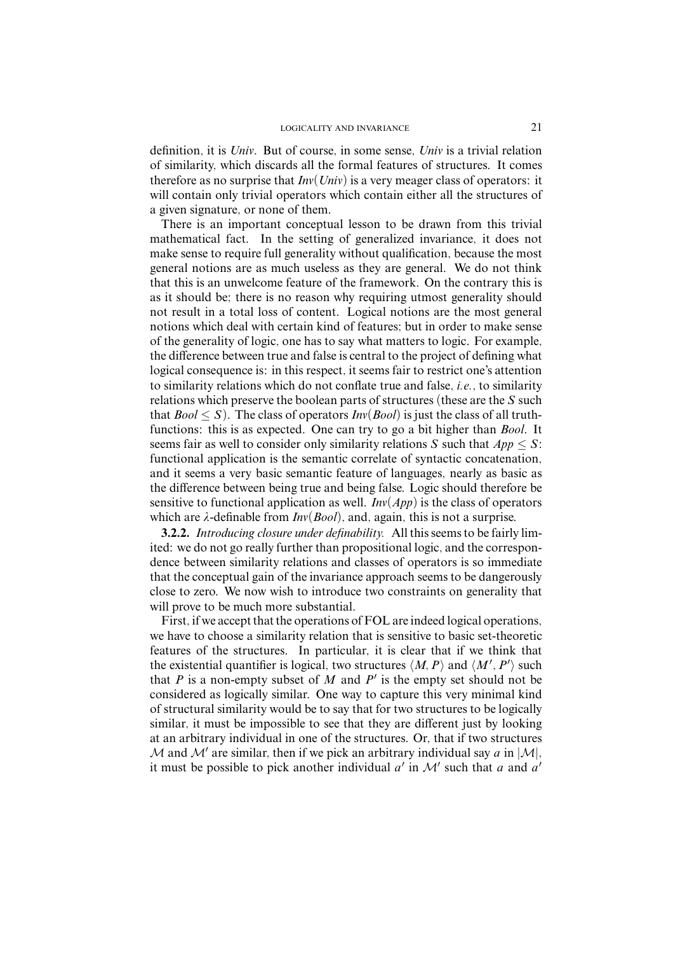definition, it is *Univ*. But of course, in some sense, *Univ* is a trivial relation of similarity, which discards all the formal features of structures. It comes therefore as no surprise that *Inv*(*Univ*) is a very meager class of operators: it will contain only trivial operators which contain either all the structures of a given signature, or none of them.

There is an important conceptual lesson to be drawn from this trivial mathematical fact. In the setting of generalized invariance, it does not make sense to require full generality without qualification, because the most general notions are as much useless as they are general. We do not think that this is an unwelcome feature of the framework. On the contrary this is as it should be; there is no reason why requiring utmost generality should not result in a total loss of content. Logical notions are the most general notions which deal with certain kind of features; but in order to make sense of the generality of logic, one has to say what matters to logic. For example, the difference between true and false is central to the project of defining what logical consequence is: in this respect, it seems fair to restrict one's attention to similarity relations which do not conflate true and false, *i.e.*, to similarity relations which preserve the boolean parts of structures (these are the *S* such that  $Bool \leq S$ ). The class of operators  $Inv(Bool)$  is just the class of all truthfunctions: this is as expected. One can try to go a bit higher than *Bool*. It seems fair as well to consider only similarity relations *S* such that *App* ≤ *S*: functional application is the semantic correlate of syntactic concatenation, and it seems a very basic semantic feature of languages, nearly as basic as the difference between being true and being false. Logic should therefore be sensitive to functional application as well. *Inv*(*App*) is the class of operators which are *ë*-definable from *Inv*(*Bool*), and, again, this is not a surprise.

**3.2.2.** *Introducing closure under definability.* All this seems to be fairly limited: we do not go really further than propositional logic, and the correspondence between similarity relations and classes of operators is so immediate that the conceptual gain of the invariance approach seems to be dangerously close to zero. We now wish to introduce two constraints on generality that will prove to be much more substantial.

First, if we accept that the operations of FOL are indeed logical operations, we have to choose a similarity relation that is sensitive to basic set-theoretic features of the structures. In particular, it is clear that if we think that the existential quantifier is logical, two structures  $\langle M, P \rangle$  and  $\langle M', P' \rangle$  such that  $P$  is a non-empty subset of  $M$  and  $P'$  is the empty set should not be considered as logically similar. One way to capture this very minimal kind of structural similarity would be to say that for two structures to be logically similar, it must be impossible to see that they are different just by looking at an arbitrary individual in one of the structures. Or, that if two structures M and M' are similar, then if we pick an arbitrary individual say a in  $|M|$ . it must be possible to pick another individual  $a'$  in  $\mathcal{M}'$  such that  $a$  and  $a'$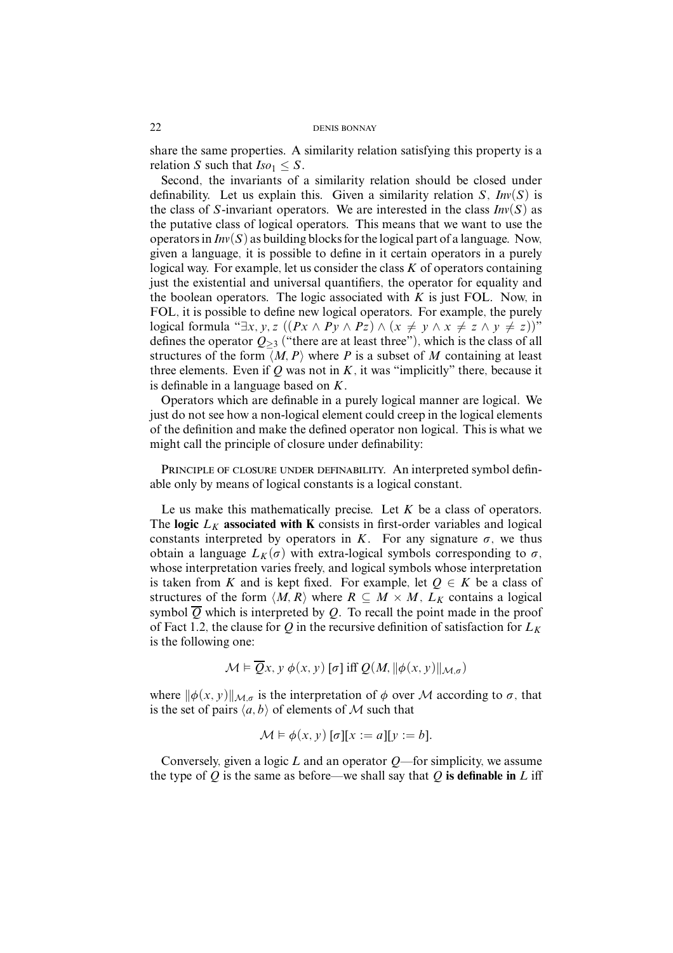share the same properties. A similarity relation satisfying this property is a relation *S* such that  $Iso<sub>1</sub> < S$ .

Second, the invariants of a similarity relation should be closed under definability. Let us explain this. Given a similarity relation *S*,  $Inv(S)$  is the class of *S*-invariant operators. We are interested in the class  $Inv(S)$  as the putative class of logical operators. This means that we want to use the operators in  $Inv(S)$  as building blocks for the logical part of a language. Now, given a language, it is possible to define in it certain operators in a purely logical way. For example, let us consider the class *K* of operators containing just the existential and universal quantifiers, the operator for equality and the boolean operators. The logic associated with *K* is just FOL. Now, in FOL, it is possible to define new logical operators. For example, the purely logical formula " $\exists x, y, z$  (( $Px \land Py \land Pz$ )  $\land$  ( $x \neq y \land x \neq z \land y \neq z$ ))" defines the operator *Q*≥<sup>3</sup> ("there are at least three"), which is the class of all structures of the form  $\overline{\langle M, P \rangle}$  where *P* is a subset of *M* containing at least three elements. Even if  $Q$  was not in  $K$ , it was "implicitly" there, because it is definable in a language based on *K*.

Operators which are definable in a purely logical manner are logical. We just do not see how a non-logical element could creep in the logical elements of the definition and make the defined operator non logical. This is what we might call the principle of closure under definability:

PRINCIPLE OF CLOSURE UNDER DEFINABILITY. An interpreted symbol definable only by means of logical constants is a logical constant.

Le us make this mathematically precise. Let *K* be a class of operators. The **logic**  $L_K$  **associated with K** consists in first-order variables and logical constants interpreted by operators in *K*. For any signature  $\sigma$ , we thus obtain a language  $L_K(\sigma)$  with extra-logical symbols corresponding to  $\sigma$ , whose interpretation varies freely, and logical symbols whose interpretation is taken from *K* and is kept fixed. For example, let  $Q \in K$  be a class of structures of the form  $\langle M, R \rangle$  where  $R \subseteq M \times M$ ,  $L_K$  contains a logical symbol  $\overline{Q}$  which is interpreted by  $Q$ . To recall the point made in the proof of Fact 1.2, the clause for *Q* in the recursive definition of satisfaction for *L<sup>K</sup>* is the following one:

$$
\mathcal{M} \vDash \overline{Q}x, y \phi(x, y) [\sigma] \text{ iff } Q(M, ||\phi(x, y)||_{\mathcal{M}, \sigma})
$$

where  $\|\phi(x, y)\|_{\mathcal{M}, \sigma}$  is the interpretation of  $\phi$  over M according to  $\sigma$ , that is the set of pairs  $\langle a, b \rangle$  of elements of M such that

$$
\mathcal{M} \models \phi(x, y) [\sigma][x := a][y := b].
$$

Conversely, given a logic *L* and an operator *Q*—for simplicity, we assume the type of *Q* is the same as before—we shall say that *Q* is definable in *L* iff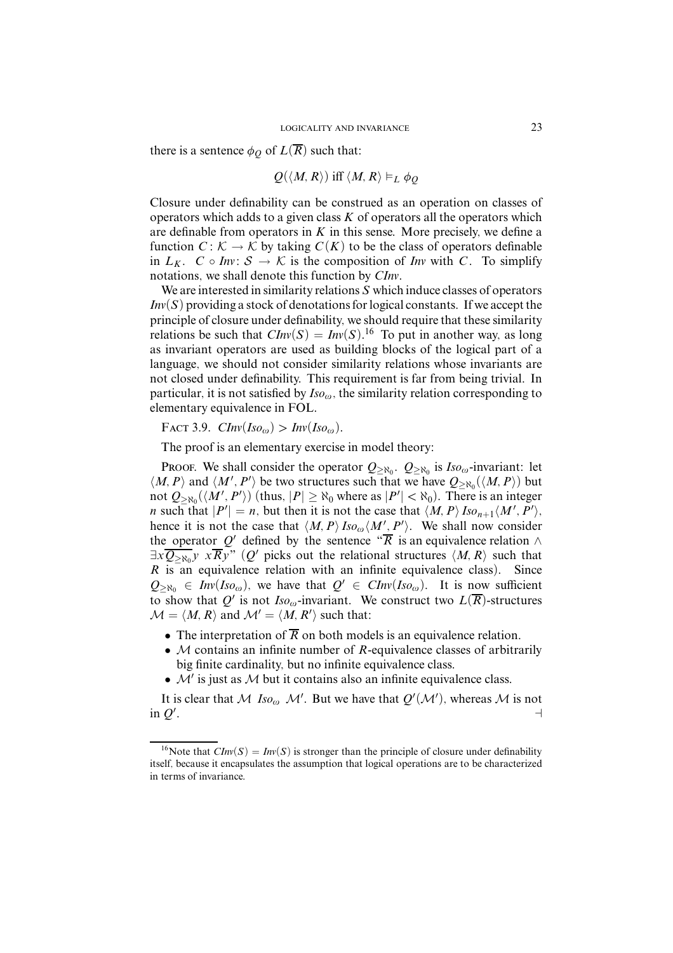there is a sentence  $\phi_O$  of  $L(\overline{R})$  such that:

$$
Q(\langle M, R \rangle)
$$
 iff  $\langle M, R \rangle \vDash_{L} \phi_{Q}$ 

Closure under definability can be construed as an operation on classes of operators which adds to a given class *K* of operators all the operators which are definable from operators in *K* in this sense. More precisely, we define a function  $C: \mathcal{K} \to \mathcal{K}$  by taking  $C(K)$  to be the class of operators definable in  $L_K$ .  $C \circ Inv: S \to K$  is the composition of *Inv* with *C*. To simplify notations, we shall denote this function by *CInv*.

We are interested in similarity relations *S* which induce classes of operators  $Inv(S)$  providing a stock of denotations for logical constants. If we accept the principle of closure under definability, we should require that these similarity relations be such that  $CInv(S) = Inv(S)$ .<sup>16</sup> To put in another way, as long as invariant operators are used as building blocks of the logical part of a language, we should not consider similarity relations whose invariants are not closed under definability. This requirement is far from being trivial. In particular, it is not satisfied by  $Iso_{\omega}$ , the similarity relation corresponding to elementary equivalence in FOL.

 $\text{FACT 3.9. } \text{Chv}(Iso_{\omega}) > \text{Inv}(Iso_{\omega}).$ 

The proof is an elementary exercise in model theory:

Proof. We shall consider the operator  $Q_{\geq \aleph_0}$ .  $Q_{\geq \aleph_0}$  is *Iso<sub>ω</sub>*-invariant: let  $\langle M, P \rangle$  and  $\langle M', P' \rangle$  be two structures such that we have  $Q_{\geq N_0}(\langle M, P \rangle)$  but not  $Q_{\geq \aleph_0}(\langle M', P' \rangle)$  (thus,  $|P| \geq \aleph_0$  where as  $|P'| < \aleph_0$ ). There is an integer *n* such that  $|P'| = n$ , but then it is not the case that  $\langle M, P \rangle$  *Iso*<sub>*n*+1</sub> $\langle M', P' \rangle$ , hence it is not the case that  $\langle M, P \rangle$  *Iso*<sub> $\omega$ </sub> $\langle M', P' \rangle$ . We shall now consider the operator  $Q'$  defined by the sentence " $\overline{R}$  is an equivalence relation  $\wedge$  $\exists x \overline{Q_{\geq N_0}} y \ x \overline{R} y$ " (*Q'* picks out the relational structures  $\langle M, R \rangle$  such that *R* is an equivalence relation with an infinite equivalence class). Since  $Q_{\geq\aleph_0} \in Inv(Iso_{\omega})$ , we have that  $Q' \in CInv(Iso_{\omega})$ . It is now sufficient to show that  $Q'$  is not *Iso<sub>* $\omega$ *</sub>*-invariant. We construct two  $L(\overline{R})$ -structures  $\mathcal{M} = \langle M, R \rangle$  and  $\mathcal{M}' = \langle M, R' \rangle$  such that:

- The interpretation of  $\overline{R}$  on both models is an equivalence relation.
- M contains an infinite number of *R*-equivalence classes of arbitrarily big finite cardinality, but no infinite equivalence class.
- $\bullet$  M' is just as M but it contains also an infinite equivalence class.

It is clear that M  $Iso_{\omega}$  M'. But we have that  $Q'(\mathcal{M}')$ , whereas M is not in *Q*′ . ⊣

<sup>&</sup>lt;sup>16</sup>Note that  $CInv(S) = Inv(S)$  is stronger than the principle of closure under definability itself, because it encapsulates the assumption that logical operations are to be characterized in terms of invariance.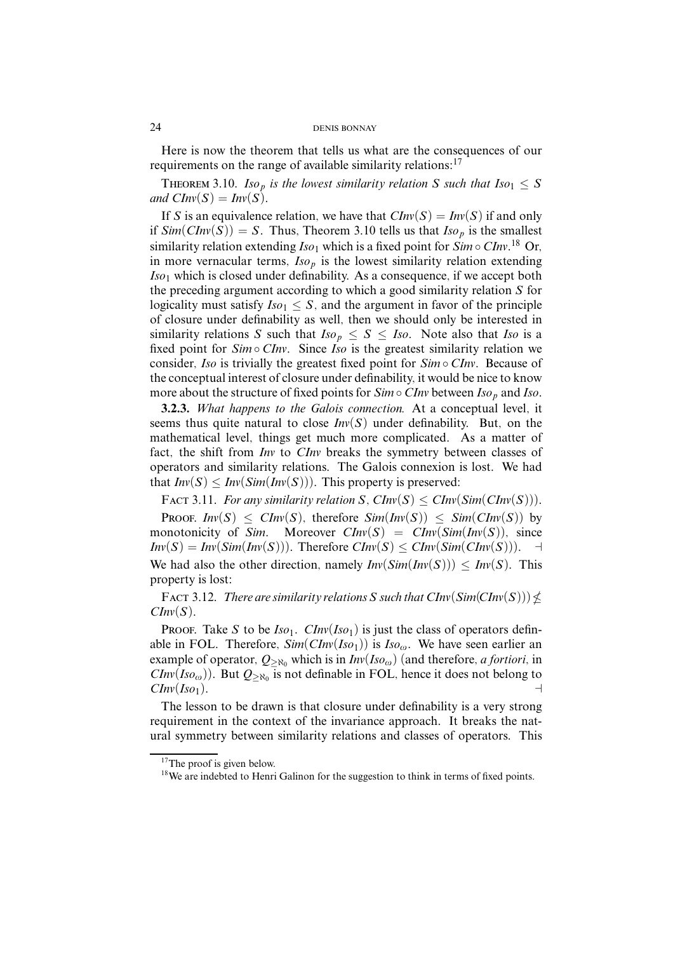Here is now the theorem that tells us what are the consequences of our requirements on the range of available similarity relations:<sup>17</sup>

THEOREM 3.10. *Iso<sub>p</sub>* is the lowest similarity relation *S* such that  $Iso_1 \leq S$ and  $CInv(S) = Inv(S)$ .

If *S* is an equivalence relation, we have that  $CInv(S) = Inv(S)$  if and only if  $Sim(CInv(S)) = S$ . Thus, Theorem 3.10 tells us that  $Iso_p$  is the smallest similarity relation extending  $Iso_1$  which is a fixed point for  $Sim \circ \text{CInv}$ .<sup>18</sup> Or, in more vernacular terms,  $Iso<sub>p</sub>$  is the lowest similarity relation extending *Iso*<sup>1</sup> which is closed under definability. As a consequence, if we accept both the preceding argument according to which a good similarity relation *S* for logicality must satisfy  $Iso_1 \leq S$ , and the argument in favor of the principle of closure under definability as well, then we should only be interested in similarity relations *S* such that  $Iso_p \leq S \leq Iso$ . Note also that *Iso* is a fixed point for *Sim* ◦ *CInv*. Since *Iso* is the greatest similarity relation we consider, *Iso* is trivially the greatest fixed point for *Sim* ◦ *CInv*. Because of the conceptual interest of closure under definability, it would be nice to know more about the structure of fixed points for *Sim*◦ *CInv* between *Iso<sup>p</sup>* and *Iso*.

**3.2.3.** *What happens to the Galois connection.* At a conceptual level, it seems thus quite natural to close  $Inv(S)$  under definability. But, on the mathematical level, things get much more complicated. As a matter of fact, the shift from *Inv* to *CInv* breaks the symmetry between classes of operators and similarity relations. The Galois connexion is lost. We had that  $Inv(S) \leq Inv(Sim(Inv(S)))$ . This property is preserved:

FACT 3.11. For any similarity relation *S*,  $CInv(S) \leq CInv(Sim(CInv(S))).$ 

PROOF. *Inv*(*S*)  $\leq$  *CInv*(*S*), therefore *Sim*(*Inv*(*S*))  $\leq$  *Sim*(*CInv*(*S*)) by monotonicity of *Sim*. Moreover  $CInv(S) = CInv(Sim(Inv(S)),$  since  $Inv(S) = Inv(Sim(Inv(S)))$ . Therefore  $CInv(S) \leq CInv(Sim(Conv(S)))$ . ⊣ We had also the other direction, namely  $Inv(Sim(Inv(S))) \leq Inv(S)$ . This property is lost:

FACT 3.12. *There are similarity relations S such that*  $CInv(Sim(CInv(S))) \nleq$ *CInv*(*S*).

**PROOF.** Take *S* to be  $Iso_1$ . *CInv*(*Iso*<sub>1</sub>) is just the class of operators definable in FOL. Therefore,  $Sim(Chv(Iso_1))$  is  $Iso_{\omega}$ . We have seen earlier an example of operator,  $Q_{\geq N_0}$  which is in  $Inv(Iso_{\omega})$  (and therefore, *a fortiori*, in *CInv*(*Iso*<sub> $\omega$ </sub>)). But  $Q_{\geq \aleph_0}$  is not definable in FOL, hence it does not belong to  $CInv(Iso<sub>1</sub>)$ . ⊣

The lesson to be drawn is that closure under definability is a very strong requirement in the context of the invariance approach. It breaks the natural symmetry between similarity relations and classes of operators. This

<sup>&</sup>lt;sup>17</sup>The proof is given below.

<sup>&</sup>lt;sup>18</sup>We are indebted to Henri Galinon for the suggestion to think in terms of fixed points.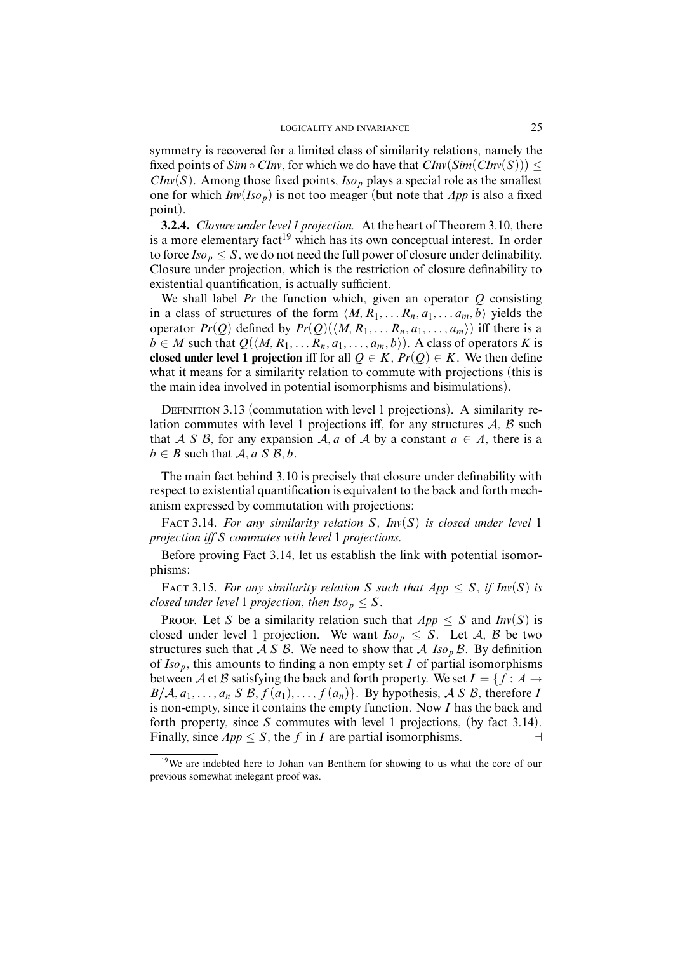symmetry is recovered for a limited class of similarity relations, namely the fixed points of *Sim*  $\circ$  *CInv*, for which we do have that  $CInv(Sim(CInv(S))) \le$ *CInv*(*S*). Among those fixed points, *Iso<sub>p</sub>* plays a special role as the smallest one for which  $Inv(Iso_p)$  is not too meager (but note that *App* is also a fixed point).

**3.2.4.** *Closure under level 1 projection.* At the heart of Theorem 3.10, there is a more elementary fact<sup>19</sup> which has its own conceptual interest. In order to force  $\text{Iso}_p \leq S$ , we do not need the full power of closure under definability. Closure under projection, which is the restriction of closure definability to existential quantification, is actually sufficient.

We shall label *Pr* the function which, given an operator *Q* consisting in a class of structures of the form  $\langle M, R_1, \ldots, R_n, a_1, \ldots, a_m, b \rangle$  yields the operator  $Pr(Q)$  defined by  $Pr(Q)(\langle M, R_1, \ldots, R_n, a_1, \ldots, a_m \rangle)$  iff there is a  $b \in M$  such that  $Q(\langle M, R_1, \ldots, R_n, a_1, \ldots, a_m, b \rangle)$ . A class of operators *K* is **closed under level 1 projection** iff for all *Q* ∈ *K*,  $Pr(Q)$  ∈ *K*. We then define what it means for a similarity relation to commute with projections (this is the main idea involved in potential isomorphisms and bisimulations).

DEFINITION 3.13 (commutation with level 1 projections). A similarity relation commutes with level 1 projections iff, for any structures  $A$ ,  $B$  such that A *S* B, for any expansion A, a of A by a constant  $a \in A$ , there is a  $b \in B$  such that  $A, a \in B, b$ .

The main fact behind 3.10 is precisely that closure under definability with respect to existential quantification is equivalent to the back and forth mechanism expressed by commutation with projections:

Fact 3.14. For any similarity relation *S*, *Inv*(*S*) is closed under level 1 projection iff *S* commutes with level 1 projections.

Before proving Fact 3.14, let us establish the link with potential isomorphisms:

FACT 3.15. For any similarity relation *S* such that  $App < S$ , if  $Inv(S)$  is closed under level 1 projection, then  $Iso_p \leq S$ .

**PROOF.** Let *S* be a similarity relation such that  $App \leq S$  and  $Inv(S)$  is closed under level 1 projection. We want  $Iso_p \leq S$ . Let A, B be two structures such that  $A S \mathcal{B}$ . We need to show that  $A \text{ } Iso_p \mathcal{B}$ . By definition of *Isop*, this amounts to finding a non empty set *I* of partial isomorphisms between A et B satisfying the back and forth property. We set  $I = \{f : A \rightarrow$  $B/A$ ,  $a_1, \ldots, a_n \in B$ ,  $f(a_1), \ldots, f(a_n)$ . By hypothesis, A *S* B, therefore *I* is non-empty, since it contains the empty function. Now *I* has the back and forth property, since *S* commutes with level 1 projections, (by fact 3.14). Finally, since  $App \leq S$ , the *f* in *I* are partial isomorphisms.  $\exists$ 

<sup>&</sup>lt;sup>19</sup>We are indebted here to Johan van Benthem for showing to us what the core of our previous somewhat inelegant proof was.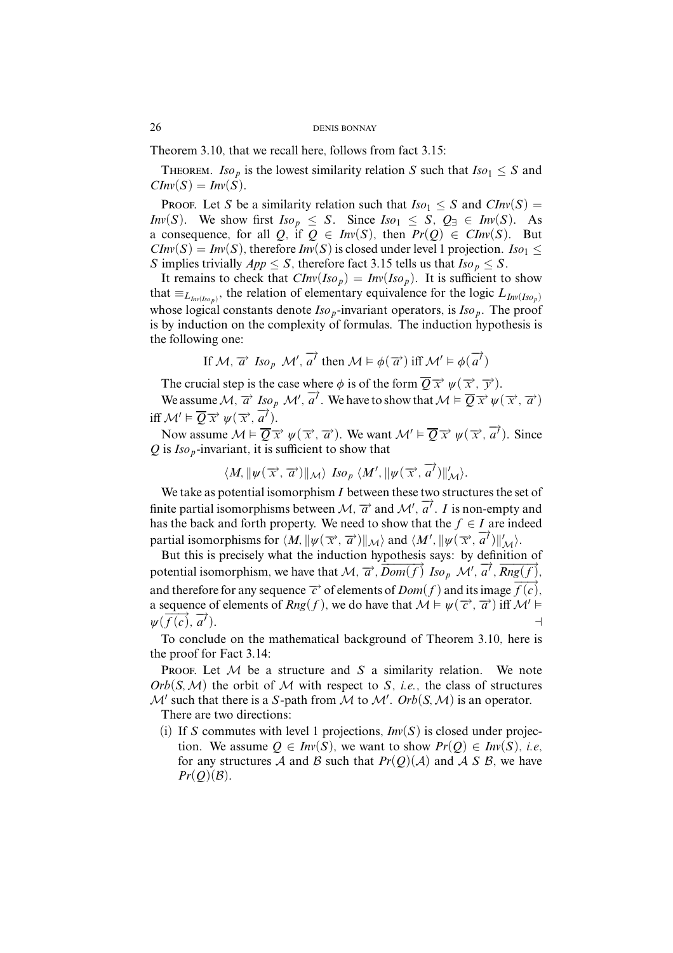Theorem 3.10, that we recall here, follows from fact 3.15:

THEOREM. *Iso*<sub>p</sub> is the lowest similarity relation *S* such that  $Iso_1 \leq S$  and  $CInv(S) = Inv(\hat{S})$ .

PROOF. Let *S* be a similarity relation such that  $Iso_1 \leq S$  and  $Clnv(S) =$ *Inv*(*S*). We show first *Iso*<sub>p</sub>  $\leq$  *S*. Since *Iso*<sub>1</sub>  $\leq$  *S*,  $Q_{\exists} \in Inv(S)$ . As a consequence, for all *Q*, if  $\overline{Q} \in Inv(S)$ , then  $Pr(Q) \in CInv(S)$ . But  $CInv(S) = Inv(S)$ , therefore  $Inv(S)$  is closed under level 1 projection. *Iso*<sub>1</sub> ≤ *S* implies trivially  $App \leq S$ , therefore fact 3.15 tells us that  $Iso_p \leq S$ .

It remains to check that  $CInv(Iso_p) = Inv(Iso_p)$ . It is sufficient to show that  $\equiv$ <sub>*LInv(Iso<sub>p</sub>*)</sub>, the relation of elementary equivalence for the logic  $L$ <sub>*Inv(Iso<sub>p</sub>)*</sub> whose logical constants denote *Isop*-invariant operators, is *Isop*. The proof is by induction on the complexity of formulas. The induction hypothesis is the following one:

If 
$$
M, \overrightarrow{a} \text{ } \text{} \text{Iso}_p \text{ } M', \overrightarrow{a' \text{ then }} M \models \phi(\overrightarrow{a}) \text{ iff } M' \models \phi(\overrightarrow{a'})
$$

The crucial step is the case where  $\phi$  is of the form  $\overline{O} \overrightarrow{x}$   $\psi(\overrightarrow{x}, \overrightarrow{v})$ .

We assume  $M$ ,  $\overrightarrow{a}$  *Iso<sub>p</sub>*  $M'$ ,  $\overrightarrow{a}$ . We have to show that  $M \vDash \overline{Q} \overrightarrow{x}$   $\psi(\overrightarrow{x}, \overrightarrow{a})$ iff  $\mathcal{M}' \models \overline{Q} \overrightarrow{x} \psi(\overrightarrow{x}, \overrightarrow{a})$ .

Now assume  $M \models \overline{Q} \overrightarrow{x} \psi(\overrightarrow{x}, \overrightarrow{a})$ . We want  $M' \models \overline{Q} \overrightarrow{x} \psi(\overrightarrow{x}, \overrightarrow{a})$ . Since *Q* is *Isop*-invariant, it is sufficient to show that

$$
\langle M, \Vert \psi(\overrightarrow{x}, \overrightarrow{a}) \Vert_{\mathcal{M}} \rangle \; \text{Iso}_{p} \; \langle M', \Vert \psi(\overrightarrow{x}, \overrightarrow{a}) \Vert'_{\mathcal{M}} \rangle.
$$

We take as potential isomorphism *I* between these two structures the set of finite partial isomorphisms between  $M$ ,  $\overrightarrow{a}$  and  $M'$ ,  $\overrightarrow{a'}$ . *I* is non-empty and has the back and forth property. We need to show that the  $f \in I$  are indeed partial isomorphisms for  $\langle M, ||\psi(\vec{x}, \vec{a})||_M \rangle$  and  $\langle M', ||\psi(\vec{x}, \vec{a'})||_M'$ .

But this is precisely what the induction hypothesis says: by definition of potential isomorphism, we have that  $M$ ,  $\overrightarrow{a}$ ,  $\overrightarrow{Dom(f)}$  *Iso<sub>p</sub>*  $M'$ ,  $\overrightarrow{a'}$ ,  $\overrightarrow{Rng(f)}$ , and therefore for any sequence  $\vec{c}$  of elements of *Dom*(*f*) and its image  $\vec{f}(c)$ , a sequence of elements of  $Rng(f)$ , we do have that  $\mathcal{M} \models \psi(\overrightarrow{c}, \overrightarrow{a})$  iff  $\mathcal{M}' \models$  $\psi(f(c), a)$ ). ⊣

To conclude on the mathematical background of Theorem 3.10, here is the proof for Fact 3.14:

PROOF. Let  $M$  be a structure and  $S$  a similarity relation. We note  $Orb(S, M)$  the orbit of M with respect to *S*, *i.e.*, the class of structures  $\mathcal{M}'$  such that there is a *S*-path from  $\mathcal M$  to  $\mathcal M'$ .  $Orb(S, \mathcal M)$  is an operator.

There are two directions:

(i) If *S* commutes with level 1 projections,  $Inv(S)$  is closed under projection. We assume  $Q \in Inv(S)$ , we want to show  $Pr(Q) \in Inv(S)$ , *i.e.* for any structures A and B such that  $Pr(Q)(\mathcal{A})$  and A *S* B, we have  $Pr(Q)(\mathcal{B}).$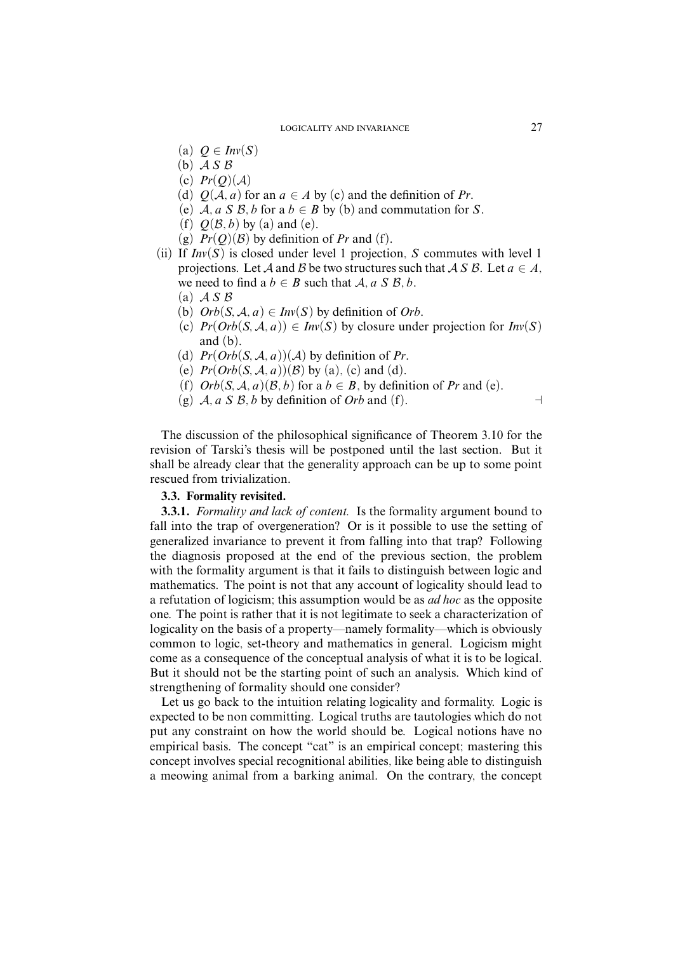- (a)  $Q \in Inv(S)$
- (b) A *S* B
- (c) *Pr*(*Q*)(A)
- (d)  $Q(A, a)$  for an  $a \in A$  by (c) and the definition of *Pr*.
- (e)  $A, a \in B, b$  for a  $b \in B$  by (b) and commutation for S.
- (f)  $Q(\mathcal{B}, b)$  by (a) and (e).
- (g)  $Pr(Q)(B)$  by definition of *Pr* and (f).
- (ii) If  $Inv(S)$  is closed under level 1 projection, *S* commutes with level 1 projections. Let A and B be two structures such that  $A S B$ . Let  $a \in A$ , we need to find a  $b \in B$  such that A, a S B, b.
	- (a) A *S* B
	- (b)  $Orb(S, A, a) \in Inv(S)$  by definition of *Orb*.
	- (c)  $Pr(Orb(S, A, a)) \in Inv(S)$  by closure under projection for  $Inv(S)$ and (b).
	- (d)  $Pr(Orb(S, A, a))$ (A) by definition of *Pr*.
	- (e)  $Pr(Orb(S, A, a))$ (B) by (a), (c) and (d).
	- (f)  $Orb(S, A, a)(B, b)$  for a  $b \in B$ , by definition of *Pr* and (e).
	- (g)  $A, a \in B, b$  by definition of *Orb* and (f).  $\Box$

The discussion of the philosophical significance of Theorem 3.10 for the revision of Tarski's thesis will be postponed until the last section. But it shall be already clear that the generality approach can be up to some point rescued from trivialization.

# **3.3. Formality revisited.**

**3.3.1.** *Formality and lack of content.* Is the formality argument bound to fall into the trap of overgeneration? Or is it possible to use the setting of generalized invariance to prevent it from falling into that trap? Following the diagnosis proposed at the end of the previous section, the problem with the formality argument is that it fails to distinguish between logic and mathematics. The point is not that any account of logicality should lead to a refutation of logicism; this assumption would be as *ad hoc* as the opposite one. The point is rather that it is not legitimate to seek a characterization of logicality on the basis of a property—namely formality—which is obviously common to logic, set-theory and mathematics in general. Logicism might come as a consequence of the conceptual analysis of what it is to be logical. But it should not be the starting point of such an analysis. Which kind of strengthening of formality should one consider?

Let us go back to the intuition relating logicality and formality. Logic is expected to be non committing. Logical truths are tautologies which do not put any constraint on how the world should be. Logical notions have no empirical basis. The concept "cat" is an empirical concept; mastering this concept involves special recognitional abilities, like being able to distinguish a meowing animal from a barking animal. On the contrary, the concept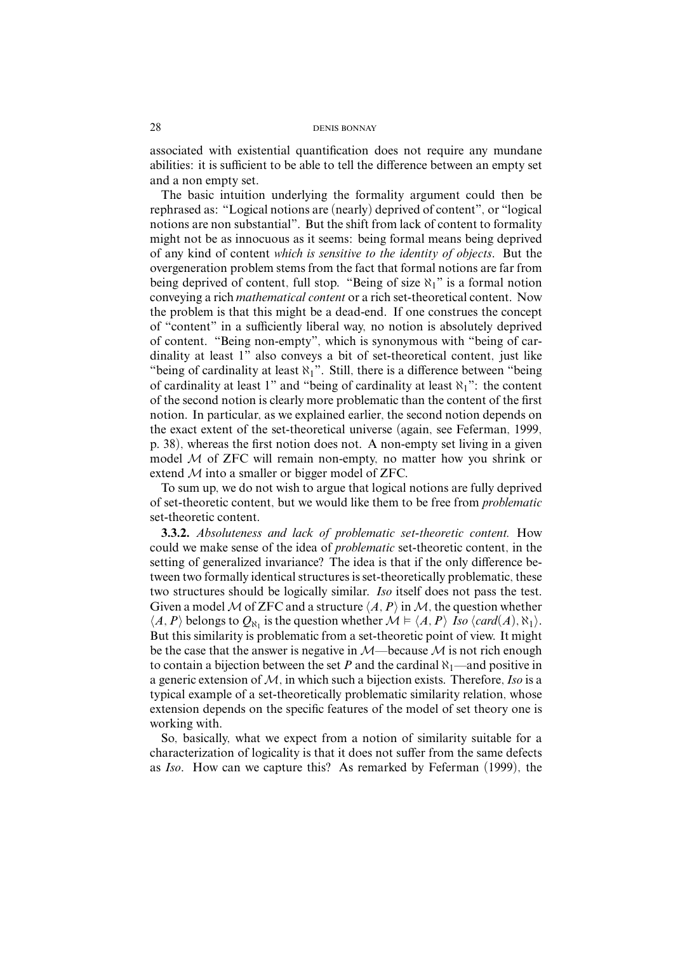associated with existential quantification does not require any mundane abilities: it is sufficient to be able to tell the difference between an empty set and a non empty set.

The basic intuition underlying the formality argument could then be rephrased as: "Logical notions are (nearly) deprived of content", or "logical notions are non substantial". But the shift from lack of content to formality might not be as innocuous as it seems: being formal means being deprived of any kind of content *which is sensitive to the identity of objects*. But the overgeneration problem stems from the fact that formal notions are far from being deprived of content, full stop. "Being of size  $\aleph_1$ " is a formal notion conveying a rich *mathematical content* or a rich set-theoretical content. Now the problem is that this might be a dead-end. If one construes the concept of "content" in a sufficiently liberal way, no notion is absolutely deprived of content. "Being non-empty", which is synonymous with "being of cardinality at least 1" also conveys a bit of set-theoretical content, just like "being of cardinality at least  $\aleph_1$ ". Still, there is a difference between "being" of cardinality at least 1" and "being of cardinality at least  $\aleph_1$ ": the content of the second notion is clearly more problematic than the content of the first notion. In particular, as we explained earlier, the second notion depends on the exact extent of the set-theoretical universe (again, see Feferman, 1999, p. 38), whereas the first notion does not. A non-empty set living in a given model M of ZFC will remain non-empty, no matter how you shrink or extend M into a smaller or bigger model of ZFC.

To sum up, we do not wish to argue that logical notions are fully deprived of set-theoretic content, but we would like them to be free from *problematic* set-theoretic content.

**3.3.2.** *Absoluteness and lack of problematic set-theoretic content.* How could we make sense of the idea of *problematic* set-theoretic content, in the setting of generalized invariance? The idea is that if the only difference between two formally identical structures is set-theoretically problematic, these two structures should be logically similar. *Iso* itself does not pass the test. Given a model M of ZFC and a structure  $\langle A, P \rangle$  in M, the question whether  $\langle A, P \rangle$  belongs to  $Q_{\aleph_1}$  is the question whether  $\mathcal{M} \models \langle A, P \rangle$  *Iso*  $\langle card(A), \aleph_1 \rangle$ . But this similarity is problematic from a set-theoretic point of view. It might be the case that the answer is negative in  $\mathcal{M}$ —because  $\mathcal M$  is not rich enough to contain a bijection between the set *P* and the cardinal  $\aleph_1$ —and positive in a generic extension of M, in which such a bijection exists. Therefore, *Iso* is a typical example of a set-theoretically problematic similarity relation, whose extension depends on the specific features of the model of set theory one is working with.

So, basically, what we expect from a notion of similarity suitable for a characterization of logicality is that it does not suffer from the same defects as *Iso*. How can we capture this? As remarked by Feferman (1999), the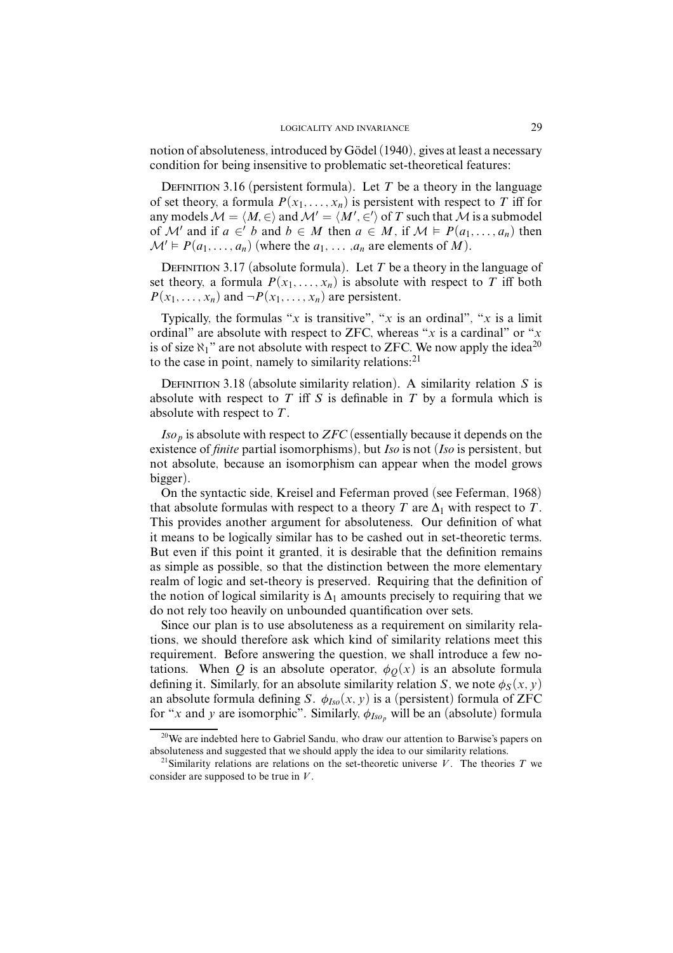notion of absoluteness, introduced by Gödel (1940), gives at least a necessary condition for being insensitive to problematic set-theoretical features:

DEFINITION 3.16 (persistent formula). Let  $T$  be a theory in the language of set theory, a formula  $P(x_1, \ldots, x_n)$  is persistent with respect to *T* iff for any models  $\mathcal{M} = \langle M, \in \rangle$  and  $\mathcal{M}' = \langle M', \in' \rangle$  of *T* such that  $\mathcal M$  is a submodel of M' and if  $a \in b$  and  $b \in M$  then  $a \in M$ , if  $\mathcal{M} \models P(a_1, \ldots, a_n)$  then  $\mathcal{M}' \models P(a_1, \ldots, a_n)$  (where the  $a_1, \ldots, a_n$  are elements of *M*).

DEFINITION 3.17 (absolute formula). Let  $T$  be a theory in the language of set theory, a formula  $P(x_1, \ldots, x_n)$  is absolute with respect to *T* iff both  $P(x_1, \ldots, x_n)$  and  $\neg P(x_1, \ldots, x_n)$  are persistent.

Typically, the formulas " $x$  is transitive", " $x$  is an ordinal", " $x$  is a limit ordinal" are absolute with respect to ZFC, whereas "*x* is a cardinal" or "*x* is of size  $\aleph_1$ " are not absolute with respect to ZFC. We now apply the idea<sup>20</sup> to the case in point, namely to similarity relations:<sup>21</sup>

DEFINITION 3.18 (absolute similarity relation). A similarity relation *S* is absolute with respect to *T* iff *S* is definable in *T* by a formula which is absolute with respect to *T*.

*Iso<sup>p</sup>* is absolute with respect to *ZFC* (essentially because it depends on the existence of *finite* partial isomorphisms), but *Iso* is not (*Iso* is persistent, but not absolute, because an isomorphism can appear when the model grows bigger).

On the syntactic side, Kreisel and Feferman proved (see Feferman, 1968) that absolute formulas with respect to a theory *T* are  $\Delta_1$  with respect to *T*. This provides another argument for absoluteness. Our definition of what it means to be logically similar has to be cashed out in set-theoretic terms. But even if this point it granted, it is desirable that the definition remains as simple as possible, so that the distinction between the more elementary realm of logic and set-theory is preserved. Requiring that the definition of the notion of logical similarity is  $\Delta_1$  amounts precisely to requiring that we do not rely too heavily on unbounded quantification over sets.

Since our plan is to use absoluteness as a requirement on similarity relations, we should therefore ask which kind of similarity relations meet this requirement. Before answering the question, we shall introduce a few notations. When *Q* is an absolute operator,  $\phi_O(x)$  is an absolute formula defining it. Similarly, for an absolute similarity relation *S*, we note  $\phi_S(x, y)$ an absolute formula defining *S*.  $\phi_{Iso}(x, y)$  is a (persistent) formula of ZFC for "*x* and *y* are isomorphic". Similarly,  $\phi_{Iso}$  will be an (absolute) formula

<sup>&</sup>lt;sup>20</sup>We are indebted here to Gabriel Sandu, who draw our attention to Barwise's papers on absoluteness and suggested that we should apply the idea to our similarity relations.

<sup>&</sup>lt;sup>21</sup>Similarity relations are relations on the set-theoretic universe *V*. The theories *T* we consider are supposed to be true in *V* .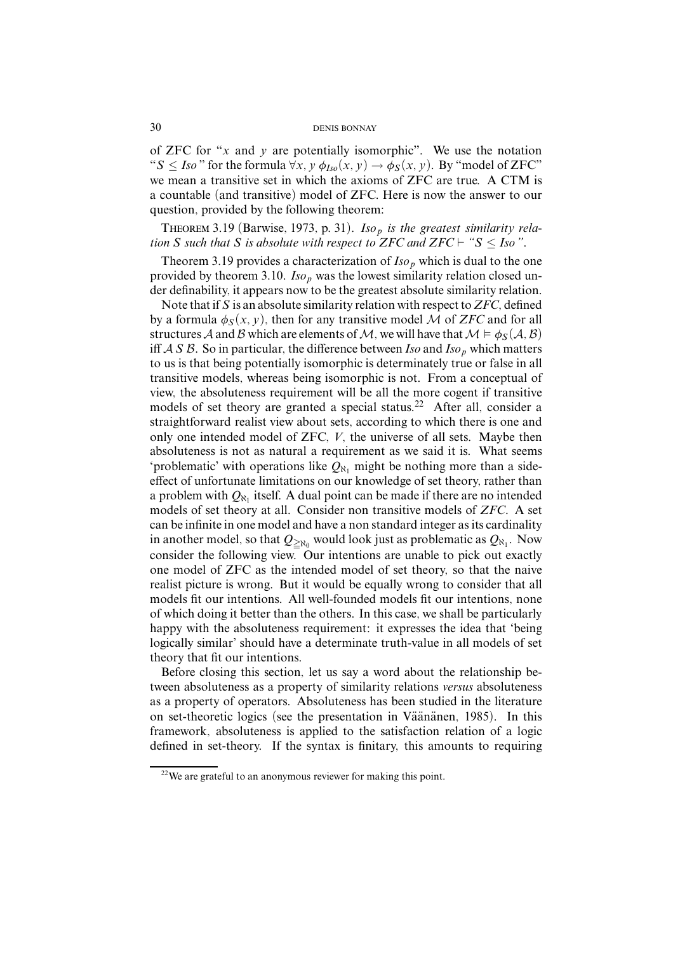of ZFC for "*x* and *y* are potentially isomorphic". We use the notation " $S \leq Iso$ " for the formula  $\forall x, y \phi_{Iso}(x, y) \rightarrow \phi_S(x, y)$ . By "model of ZFC" we mean a transitive set in which the axioms of ZFC are true. A CTM is a countable (and transitive) model of ZFC. Here is now the answer to our question, provided by the following theorem:

Theorem 3.19 (Barwise, 1973, p. 31). *Iso<sup>p</sup>* is the greatest similarity rela*tion S* such that *S* is absolute with respect to *ZFC* and *ZFC*  $\vdash$  "*S*  $\leq$  *Iso* ".

Theorem 3.19 provides a characterization of *Iso<sup>p</sup>* which is dual to the one provided by theorem 3.10. *Iso<sup>p</sup>* was the lowest similarity relation closed under definability, it appears now to be the greatest absolute similarity relation.

Note that if *S* is an absolute similarity relation with respect to *ZFC*, defined by a formula  $\phi_S(x, y)$ , then for any transitive model M of *ZFC* and for all structures A and B which are elements of M, we will have that  $M \models \phi_S(A, \mathcal{B})$ iff  $\overline{A} S \overline{B}$ . So in particular, the difference between *Iso* and *Iso*<sub>*p*</sub> which matters to us is that being potentially isomorphic is determinately true or false in all transitive models, whereas being isomorphic is not. From a conceptual of view, the absoluteness requirement will be all the more cogent if transitive models of set theory are granted a special status.<sup>22</sup> After all, consider a straightforward realist view about sets, according to which there is one and only one intended model of ZFC, *V*, the universe of all sets. Maybe then absoluteness is not as natural a requirement as we said it is. What seems 'problematic' with operations like  $Q_{\aleph_1}$  might be nothing more than a sideeffect of unfortunate limitations on our knowledge of set theory, rather than a problem with  $Q_{N_1}$  itself. A dual point can be made if there are no intended models of set theory at all. Consider non transitive models of *ZFC*. A set can be infinite in one model and have a non standard integer as its cardinality in another model, so that  $Q_{\geq \aleph_0}$  would look just as problematic as  $Q_{\aleph_1}$ . Now consider the following view. Our intentions are unable to pick out exactly one model of ZFC as the intended model of set theory, so that the naive realist picture is wrong. But it would be equally wrong to consider that all models fit our intentions. All well-founded models fit our intentions, none of which doing it better than the others. In this case, we shall be particularly happy with the absoluteness requirement: it expresses the idea that 'being logically similar' should have a determinate truth-value in all models of set theory that fit our intentions.

Before closing this section, let us say a word about the relationship between absoluteness as a property of similarity relations *versus* absoluteness as a property of operators. Absoluteness has been studied in the literature on set-theoretic logics (see the presentation in Väänänen, 1985). In this framework, absoluteness is applied to the satisfaction relation of a logic defined in set-theory. If the syntax is finitary, this amounts to requiring

 $22$ We are grateful to an anonymous reviewer for making this point.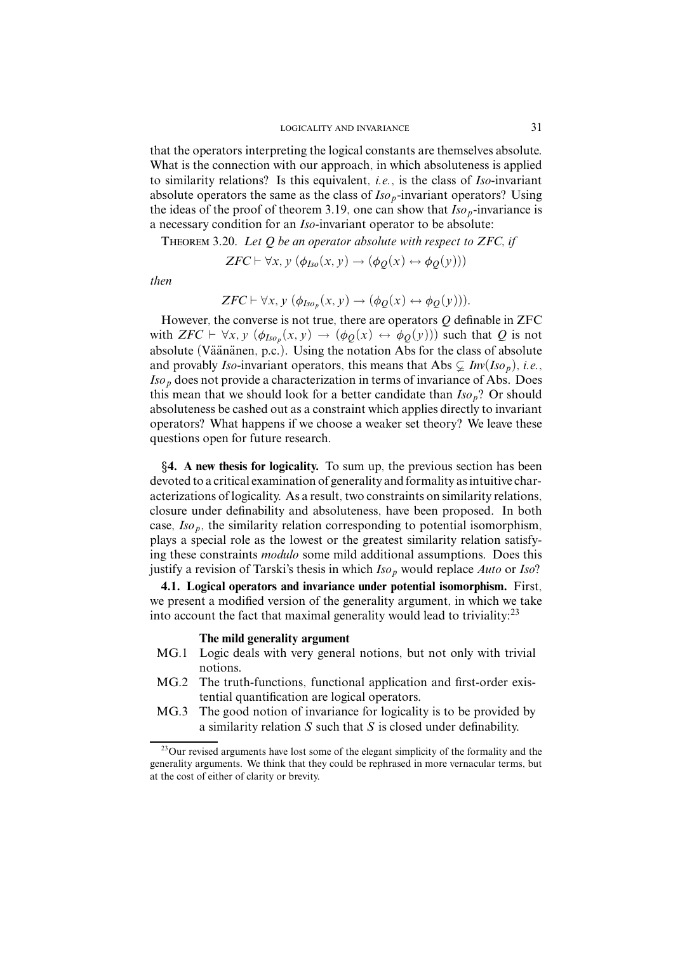that the operators interpreting the logical constants are themselves absolute. What is the connection with our approach, in which absoluteness is applied to similarity relations? Is this equivalent, *i.e.*, is the class of *Iso*-invariant absolute operators the same as the class of *Isop*-invariant operators? Using the ideas of the proof of theorem 3.19, one can show that *Isop*-invariance is a necessary condition for an *Iso*-invariant operator to be absolute:

Theorem 3.20. Let *Q* be an operator absolute with respect to ZFC, if

$$
ZFC \vdash \forall x, y \ (\phi_{Iso}(x, y) \rightarrow (\phi_{Q}(x) \leftrightarrow \phi_{Q}(y)))
$$

then

$$
ZFC \vdash \forall x, y \ (\phi_{Iso_p}(x, y) \to (\phi_Q(x) \leftrightarrow \phi_Q(y))).
$$

However, the converse is not true, there are operators *Q* definable in ZFC with  $ZFC \vdash \forall x, y \; (\phi_{Iso_p}(x, y) \rightarrow (\phi_Q(x) \leftrightarrow \phi_Q(y)))$  such that Q is not absolute (Väänänen, p.c.). Using the notation Abs for the class of absolute and provably *Iso*-invariant operators, this means that Abs  $\subsetneq Inv(Iso_p)$ , *i.e.*, *Iso*<sub>p</sub> does not provide a characterization in terms of invariance of Abs. Does this mean that we should look for a better candidate than *Isop*? Or should absoluteness be cashed out as a constraint which applies directly to invariant operators? What happens if we choose a weaker set theory? We leave these questions open for future research.

§**4. A new thesis for logicality.** To sum up, the previous section has been devoted to a critical examination of generality and formality as intuitive characterizations of logicality. As a result, two constraints on similarity relations, closure under definability and absoluteness, have been proposed. In both case, *Isop*, the similarity relation corresponding to potential isomorphism, plays a special role as the lowest or the greatest similarity relation satisfying these constraints *modulo* some mild additional assumptions. Does this justify a revision of Tarski's thesis in which *Iso<sup>p</sup>* would replace *Auto* or *Iso*?

**4.1. Logical operators and invariance under potential isomorphism.** First, we present a modified version of the generality argument, in which we take into account the fact that maximal generality would lead to triviality: $2<sup>3</sup>$ 

## **The mild generality argument**

- MG.1 Logic deals with very general notions, but not only with trivial notions.
- MG.2 The truth-functions, functional application and first-order existential quantification are logical operators.
- MG.3 The good notion of invariance for logicality is to be provided by a similarity relation *S* such that *S* is closed under definability.

<sup>&</sup>lt;sup>23</sup>Our revised arguments have lost some of the elegant simplicity of the formality and the generality arguments. We think that they could be rephrased in more vernacular terms, but at the cost of either of clarity or brevity.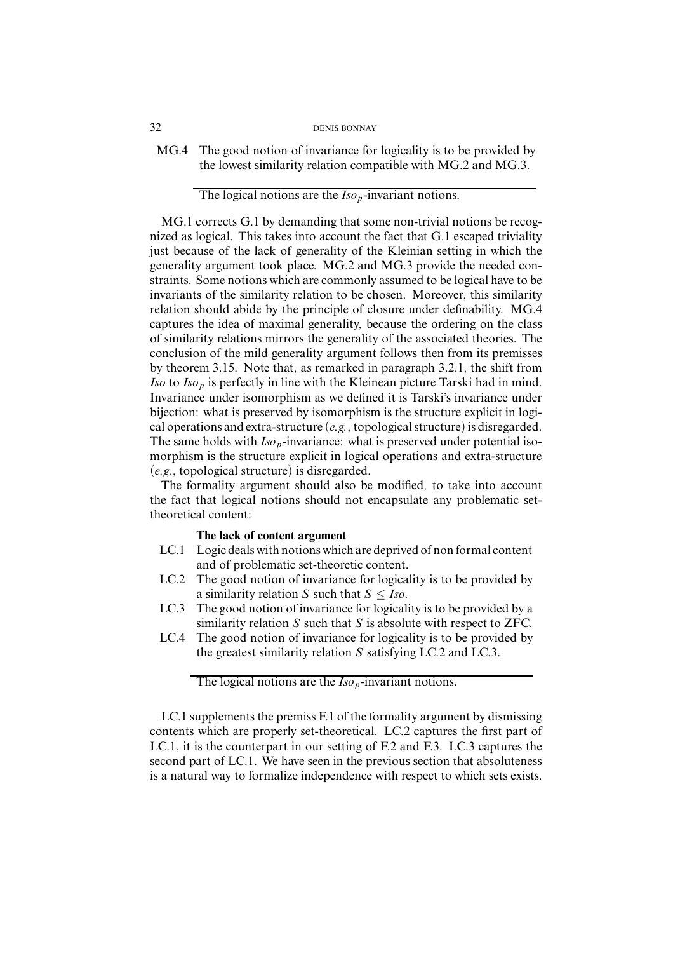MG.4 The good notion of invariance for logicality is to be provided by the lowest similarity relation compatible with MG.2 and MG.3.

The logical notions are the *Isop*-invariant notions.

MG.1 corrects G.1 by demanding that some non-trivial notions be recognized as logical. This takes into account the fact that G.1 escaped triviality just because of the lack of generality of the Kleinian setting in which the generality argument took place. MG.2 and MG.3 provide the needed constraints. Some notions which are commonly assumed to be logical have to be invariants of the similarity relation to be chosen. Moreover, this similarity relation should abide by the principle of closure under definability. MG.4 captures the idea of maximal generality, because the ordering on the class of similarity relations mirrors the generality of the associated theories. The conclusion of the mild generality argument follows then from its premisses by theorem 3.15. Note that, as remarked in paragraph 3.2.1, the shift from *Iso* to *Iso<sup>p</sup>* is perfectly in line with the Kleinean picture Tarski had in mind. Invariance under isomorphism as we defined it is Tarski's invariance under bijection: what is preserved by isomorphism is the structure explicit in logical operations and extra-structure (*e.g.*, topological structure) is disregarded. The same holds with  $Iso_p$ -invariance: what is preserved under potential isomorphism is the structure explicit in logical operations and extra-structure (*e.g.*, topological structure) is disregarded.

The formality argument should also be modified, to take into account the fact that logical notions should not encapsulate any problematic settheoretical content:

#### **The lack of content argument**

- LC.1 Logic deals with notions which are deprived of non formal content and of problematic set-theoretic content.
- LC.2 The good notion of invariance for logicality is to be provided by a similarity relation *S* such that  $S \leq Iso$ .
- LC.3 The good notion of invariance for logicality is to be provided by a similarity relation *S* such that *S* is absolute with respect to ZFC.
- LC.4 The good notion of invariance for logicality is to be provided by the greatest similarity relation *S* satisfying LC.2 and LC.3.

The logical notions are the *Isop*-invariant notions.

LC.1 supplements the premiss F.1 of the formality argument by dismissing contents which are properly set-theoretical. LC.2 captures the first part of LC.1, it is the counterpart in our setting of F.2 and F.3. LC.3 captures the second part of LC.1. We have seen in the previous section that absoluteness is a natural way to formalize independence with respect to which sets exists.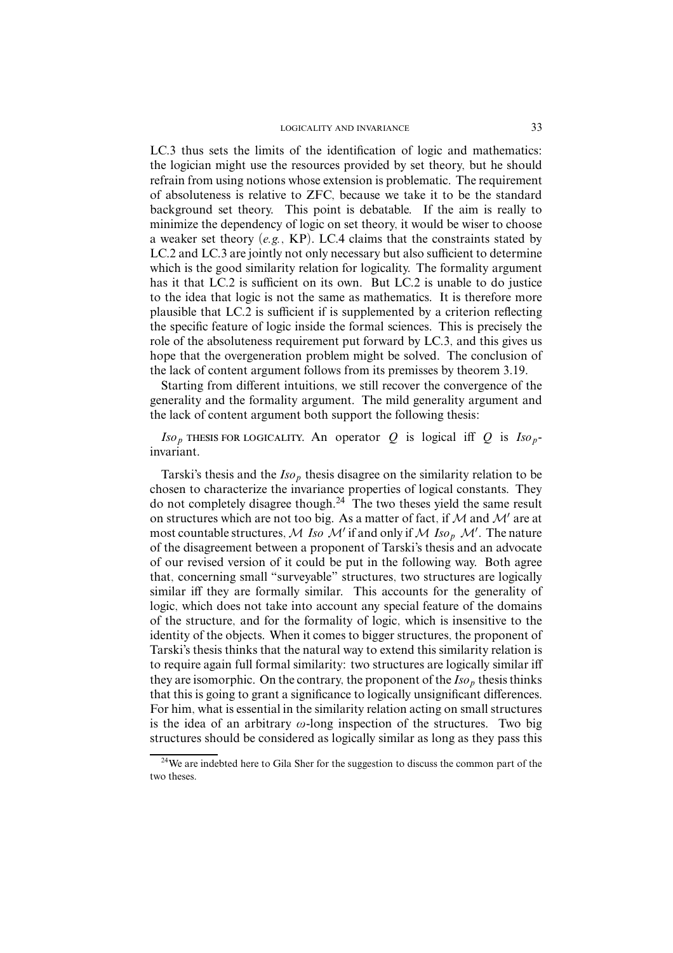LC.3 thus sets the limits of the identification of logic and mathematics: the logician might use the resources provided by set theory, but he should refrain from using notions whose extension is problematic. The requirement of absoluteness is relative to ZFC, because we take it to be the standard background set theory. This point is debatable. If the aim is really to minimize the dependency of logic on set theory, it would be wiser to choose a weaker set theory (*e.g.*, KP). LC.4 claims that the constraints stated by LC.2 and LC.3 are jointly not only necessary but also sufficient to determine which is the good similarity relation for logicality. The formality argument has it that LC.2 is sufficient on its own. But LC.2 is unable to do justice to the idea that logic is not the same as mathematics. It is therefore more plausible that LC.2 is sufficient if is supplemented by a criterion reflecting the specific feature of logic inside the formal sciences. This is precisely the role of the absoluteness requirement put forward by LC.3, and this gives us hope that the overgeneration problem might be solved. The conclusion of the lack of content argument follows from its premisses by theorem 3.19.

Starting from different intuitions, we still recover the convergence of the generality and the formality argument. The mild generality argument and the lack of content argument both support the following thesis:

*Iso*<sup>p</sup> THESIS FOR LOGICALITY. An operator *Q* is logical iff *Q* is *Iso*<sup>p</sup>invariant.

Tarski's thesis and the *Iso<sup>p</sup>* thesis disagree on the similarity relation to be chosen to characterize the invariance properties of logical constants. They do not completely disagree though.<sup>24</sup> The two theses yield the same result on structures which are not too big. As a matter of fact, if  $M$  and  $M'$  are at most countable structures, M *Iso* M' if and only if M *Iso<sub>p</sub>* M'. The nature of the disagreement between a proponent of Tarski's thesis and an advocate of our revised version of it could be put in the following way. Both agree that, concerning small "surveyable" structures, two structures are logically similar iff they are formally similar. This accounts for the generality of logic, which does not take into account any special feature of the domains of the structure, and for the formality of logic, which is insensitive to the identity of the objects. When it comes to bigger structures, the proponent of Tarski's thesis thinks that the natural way to extend this similarity relation is to require again full formal similarity: two structures are logically similar iff they are isomorphic. On the contrary, the proponent of the  $Iso_p$  thesis thinks that this is going to grant a significance to logically unsignificant differences. For him, what is essential in the similarity relation acting on small structures is the idea of an arbitrary  $\omega$ -long inspection of the structures. Two big structures should be considered as logically similar as long as they pass this

<sup>&</sup>lt;sup>24</sup>We are indebted here to Gila Sher for the suggestion to discuss the common part of the two theses.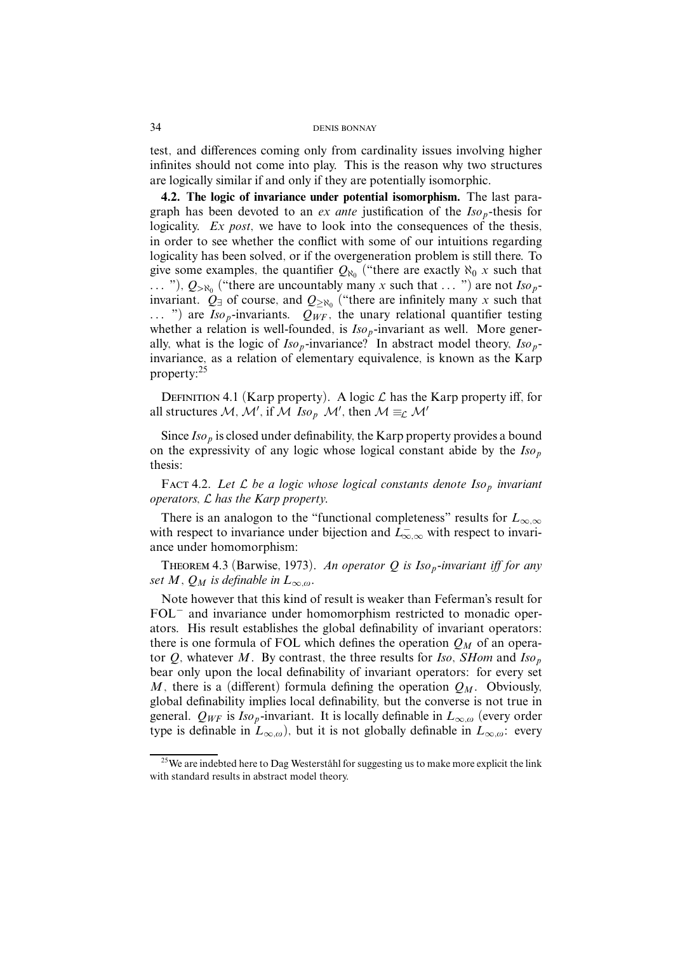test, and differences coming only from cardinality issues involving higher infinites should not come into play. This is the reason why two structures are logically similar if and only if they are potentially isomorphic.

**4.2. The logic of invariance under potential isomorphism.** The last paragraph has been devoted to an *ex ante* justification of the *Isop*-thesis for logicality. *Ex post*, we have to look into the consequences of the thesis, in order to see whether the conflict with some of our intuitions regarding logicality has been solved, or if the overgeneration problem is still there. To give some examples, the quantifier  $Q_{\aleph_0}$  ("there are exactly  $\aleph_0 x$  such that  $\ldots$  "),  $Q_{>}x_0$  ("there are uncountably many *x* such that  $\ldots$  ") are not *Iso*<sub>*p*</sub>invariant.  $Q_{\exists}$  of course, and  $Q_{\geq \aleph_0}$  ("there are infinitely many *x* such that  $\ldots$  ") are *Iso*<sub>p</sub>-invariants.  $Q_{WF}$ , the unary relational quantifier testing whether a relation is well-founded, is *Isop*-invariant as well. More generally, what is the logic of *Isop*-invariance? In abstract model theory, *Isop*invariance, as a relation of elementary equivalence, is known as the Karp property:<sup>25</sup>

DEFINITION 4.1 (Karp property). A logic  $\mathcal L$  has the Karp property iff, for all structures M, M', if M  $Iso_p$  M', then  $M \equiv_{\mathcal{L}} M'$ 

Since  $Iso_p$  is closed under definability, the Karp property provides a bound on the expressivity of any logic whose logical constant abide by the *Iso<sup>p</sup>* thesis:

FACT 4.2. Let  $\mathcal L$  be a logic whose logical constants denote  $Iso_p$  invariant operators,  $L$  has the Karp property.

There is an analogon to the "functional completeness" results for  $L_{\infty,\infty}$ with respect to invariance under bijection and  $L^{-}_{\infty,\infty}$  with respect to invariance under homomorphism:

THEOREM 4.3 (Barwise, 1973). An operator *Q* is  $Iso<sub>n</sub>$ -invariant iff for any set *M*,  $Q_M$  is definable in  $L_{\infty,\omega}$ .

Note however that this kind of result is weaker than Feferman's result for FOL<sup>−</sup> and invariance under homomorphism restricted to monadic operators. His result establishes the global definability of invariant operators: there is one formula of FOL which defines the operation  $Q_M$  of an operator *Q*, whatever *M*. By contrast, the three results for *Iso*, *SHom* and *Iso<sup>p</sup>* bear only upon the local definability of invariant operators: for every set *M*, there is a (different) formula defining the operation  $Q_M$ . Obviously, global definability implies local definability, but the converse is not true in general.  $Q_{WF}$  is *Iso*<sub>p</sub>-invariant. It is locally definable in  $L_{\infty,\omega}$  (every order type is definable in  $L_{\infty,a}$ ), but it is not globally definable in  $L_{\infty,a}$ : every

<sup>&</sup>lt;sup>25</sup>We are indebted here to Dag Westerståhl for suggesting us to make more explicit the link with standard results in abstract model theory.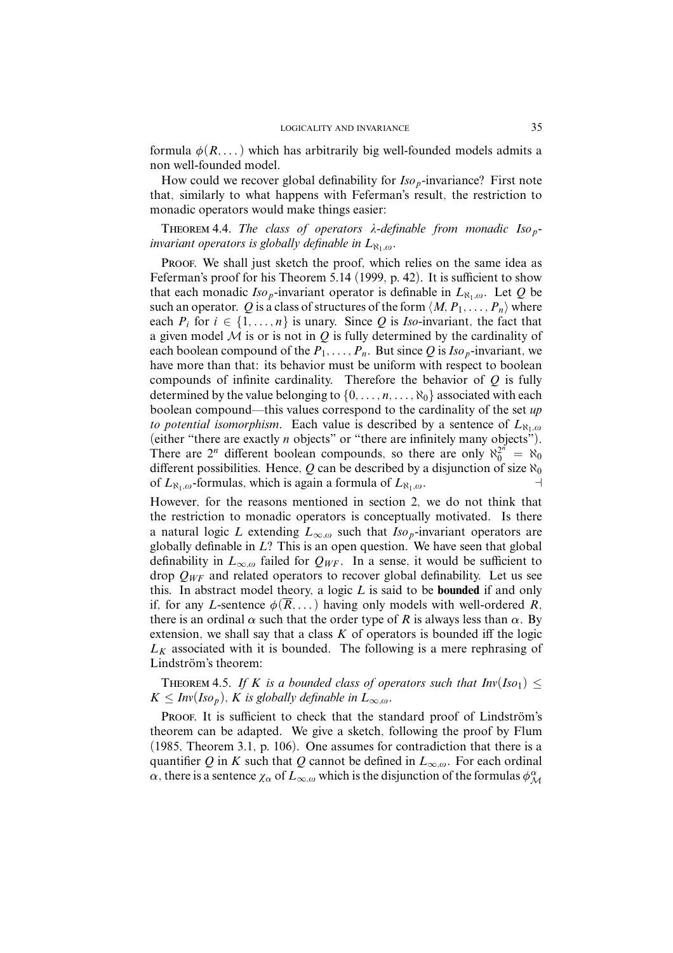formula  $\phi(R, \ldots)$  which has arbitrarily big well-founded models admits a non well-founded model.

How could we recover global definability for *Isop*-invariance? First note that, similarly to what happens with Feferman's result, the restriction to monadic operators would make things easier:

Theorem 4.4. The class of operators *ë*-definable from monadic *Isop*invariant operators is globally definable in  $L_{\aleph_1,0}$ .

PROOF. We shall just sketch the proof, which relies on the same idea as Feferman's proof for his Theorem 5.14 (1999, p. 42). It is sufficient to show that each monadic  $Iso_p$ -invariant operator is definable in  $L_{\aleph_1,\omega}$ . Let Q be such an operator. *Q* is a class of structures of the form  $\langle M, P_1, \ldots, P_n \rangle$  where each  $P_i$  for  $i \in \{1, ..., n\}$  is unary. Since Q is *Iso*-invariant, the fact that a given model M is or is not in *Q* is fully determined by the cardinality of each boolean compound of the  $P_1, \ldots, P_n$ . But since Q is  $\text{Iso}_p$ -invariant, we have more than that: its behavior must be uniform with respect to boolean compounds of infinite cardinality. Therefore the behavior of *Q* is fully determined by the value belonging to  $\{0, \ldots, n, \ldots, \aleph_0\}$  associated with each boolean compound—this values correspond to the cardinality of the set *up to potential isomorphism.* Each value is described by a sentence of  $L_{\aleph_1,\omega}$ (either "there are exactly *n* objects" or "there are infinitely many objects"). There are  $2^n$  different boolean compounds, so there are only  $\aleph_0^{2^n} = \aleph_0$ different possibilities. Hence,  $Q$  can be described by a disjunction of size  $\aleph_0$ of  $L_{\aleph_1,\omega}$ -formulas, which is again a formula of  $L_{\aleph_1,\omega}$ .

However, for the reasons mentioned in section 2, we do not think that the restriction to monadic operators is conceptually motivated. Is there a natural logic *L* extending  $L_{\infty,\omega}$  such that *Iso*<sub>p</sub>-invariant operators are globally definable in *L*? This is an open question. We have seen that global definability in  $L_{\infty,\omega}$  failed for  $Q_{WF}$ . In a sense, it would be sufficient to drop  $Q_{WF}$  and related operators to recover global definability. Let us see this. In abstract model theory, a logic *L* is said to be **bounded** if and only if, for any *L*-sentence  $\phi(\overline{R}, \dots)$  having only models with well-ordered *R*, there is an ordinal  $\alpha$  such that the order type of *R* is always less than  $\alpha$ . By extension, we shall say that a class *K* of operators is bounded iff the logic  $L_K$  associated with it is bounded. The following is a mere rephrasing of Lindström's theorem:

THEOREM 4.5. If *K* is a bounded class of operators such that  $Inv(Iso<sub>1</sub>)$  <  $K \leq Inv(Iso_p)$ , *K* is globally definable in  $L_{\infty,\omega}$ .

PROOF. It is sufficient to check that the standard proof of Lindström's theorem can be adapted. We give a sketch, following the proof by Flum (1985, Theorem 3.1, p. 106). One assumes for contradiction that there is a quantifier *Q* in *K* such that *Q* cannot be defined in  $L_{\infty,\omega}$ . For each ordinal *α*, there is a sentence  $\chi_{\alpha}$  of  $L_{\infty,\omega}$  which is the disjunction of the formulas  $\phi^{\alpha}_{\mathcal{M}}$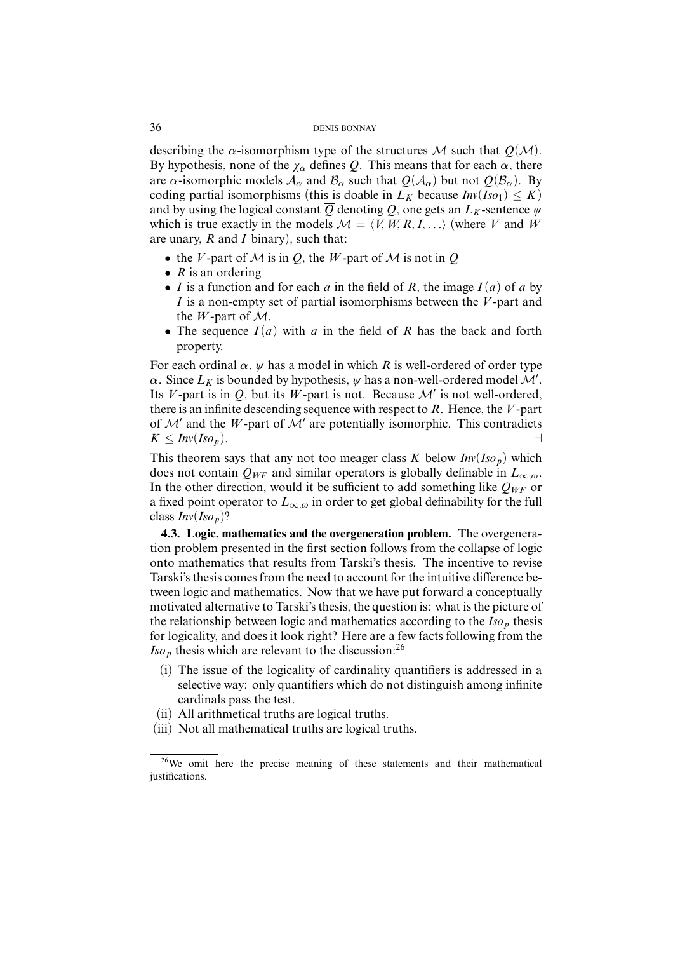describing the *α*-isomorphism type of the structures M such that *Q*(M). By hypothesis, none of the  $\chi_{\alpha}$  defines *Q*. This means that for each  $\alpha$ , there are  $\alpha$ -isomorphic models  $\mathcal{A}_{\alpha}$  and  $\mathcal{B}_{\alpha}$  such that  $Q(\mathcal{A}_{\alpha})$  but not  $Q(\mathcal{B}_{\alpha})$ . By coding partial isomorphisms (this is doable in  $L_K$  because  $Inv(Iso_1) \leq K$ ) and by using the logical constant  $\overline{Q}$  denoting  $Q$ , one gets an  $L_K$ -sentence  $\psi$ which is true exactly in the models  $\mathcal{M} = \langle V, W, R, I, \ldots \rangle$  (where *V* and *W* are unary, *R* and *I* binary), such that:

- the *V*-part of *M* is in *Q*, the *W*-part of *M* is not in *Q*
- *R* is an ordering
- *I* is a function and for each *a* in the field of *R*, the image  $I(a)$  of *a* by *I* is a non-empty set of partial isomorphisms between the *V* -part and the *W*-part of  $M$ .
- The sequence  $I(a)$  with  $a$  in the field of  $R$  has the back and forth property.

For each ordinal  $\alpha$ ,  $\psi$  has a model in which *R* is well-ordered of order type  $\alpha$ . Since  $L_K$  is bounded by hypothesis,  $\psi$  has a non-well-ordered model  $\mathcal{M}'$ . Its  $V$ -part is in  $Q$ , but its  $W$ -part is not. Because  $\mathcal{M}'$  is not well-ordered, there is an infinite descending sequence with respect to *R*. Hence, the *V* -part of  $\mathcal{M}'$  and the *W*-part of  $\mathcal{M}'$  are potentially isomorphic. This contradicts  $K \leq Inv(Iso_p).$ 

This theorem says that any not too meager class *K* below  $Inv(Iso_p)$  which does not contain  $Q_{WF}$  and similar operators is globally definable in  $L_{\infty,\omega}$ . In the other direction, would it be sufficient to add something like *QWF* or a fixed point operator to  $L_{\infty,\omega}$  in order to get global definability for the full class *Inv*(*Isop*)?

**4.3. Logic, mathematics and the overgeneration problem.** The overgeneration problem presented in the first section follows from the collapse of logic onto mathematics that results from Tarski's thesis. The incentive to revise Tarski's thesis comes from the need to account for the intuitive difference between logic and mathematics. Now that we have put forward a conceptually motivated alternative to Tarski's thesis, the question is: what isthe picture of the relationship between logic and mathematics according to the  $Iso<sub>p</sub>$  thesis for logicality, and does it look right? Here are a few facts following from the *Iso*<sub>p</sub> thesis which are relevant to the discussion:<sup>26</sup>

- (i) The issue of the logicality of cardinality quantifiers is addressed in a selective way: only quantifiers which do not distinguish among infinite cardinals pass the test.
- (ii) All arithmetical truths are logical truths.
- (iii) Not all mathematical truths are logical truths.

 $26$ We omit here the precise meaning of these statements and their mathematical justifications.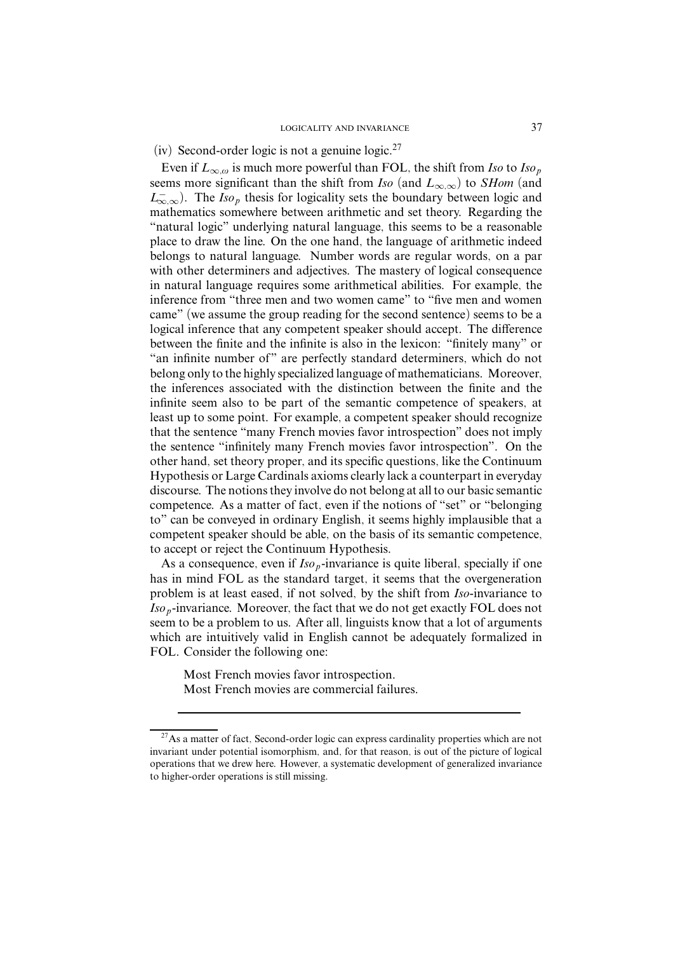# (iv) Second-order logic is not a genuine logic.<sup>27</sup>

Even if  $L_{\infty,\omega}$  is much more powerful than FOL, the shift from *Iso* to *Iso*<sup>*n*</sup></sub> seems more significant than the shift from *Iso* (and  $L_{\infty,\infty}$ ) to *SHom* (and  $L_{\infty,\infty}^-$ ). The *Iso<sub>p</sub>* thesis for logicality sets the boundary between logic and mathematics somewhere between arithmetic and set theory. Regarding the "natural logic" underlying natural language, this seems to be a reasonable place to draw the line. On the one hand, the language of arithmetic indeed belongs to natural language. Number words are regular words, on a par with other determiners and adjectives. The mastery of logical consequence in natural language requires some arithmetical abilities. For example, the inference from "three men and two women came" to "five men and women came" (we assume the group reading for the second sentence) seems to be a logical inference that any competent speaker should accept. The difference between the finite and the infinite is also in the lexicon: "finitely many" or "an infinite number of" are perfectly standard determiners, which do not belong only to the highly specialized language of mathematicians. Moreover, the inferences associated with the distinction between the finite and the infinite seem also to be part of the semantic competence of speakers, at least up to some point. For example, a competent speaker should recognize that the sentence "many French movies favor introspection" does not imply the sentence "infinitely many French movies favor introspection". On the other hand, set theory proper, and its specific questions, like the Continuum Hypothesis or Large Cardinals axioms clearly lack a counterpart in everyday discourse. The notions they involve do not belong at all to our basic semantic competence. As a matter of fact, even if the notions of "set" or "belonging to" can be conveyed in ordinary English, it seems highly implausible that a competent speaker should be able, on the basis of its semantic competence, to accept or reject the Continuum Hypothesis.

As a consequence, even if *Iso*<sub>p</sub>-invariance is quite liberal, specially if one has in mind FOL as the standard target, it seems that the overgeneration problem is at least eased, if not solved, by the shift from *Iso*-invariance to *Iso*<sub>p</sub>-invariance. Moreover, the fact that we do not get exactly FOL does not seem to be a problem to us. After all, linguists know that a lot of arguments which are intuitively valid in English cannot be adequately formalized in FOL. Consider the following one:

Most French movies favor introspection. Most French movies are commercial failures.

 $27$ As a matter of fact, Second-order logic can express cardinality properties which are not invariant under potential isomorphism, and, for that reason, is out of the picture of logical operations that we drew here. However, a systematic development of generalized invariance to higher-order operations is still missing.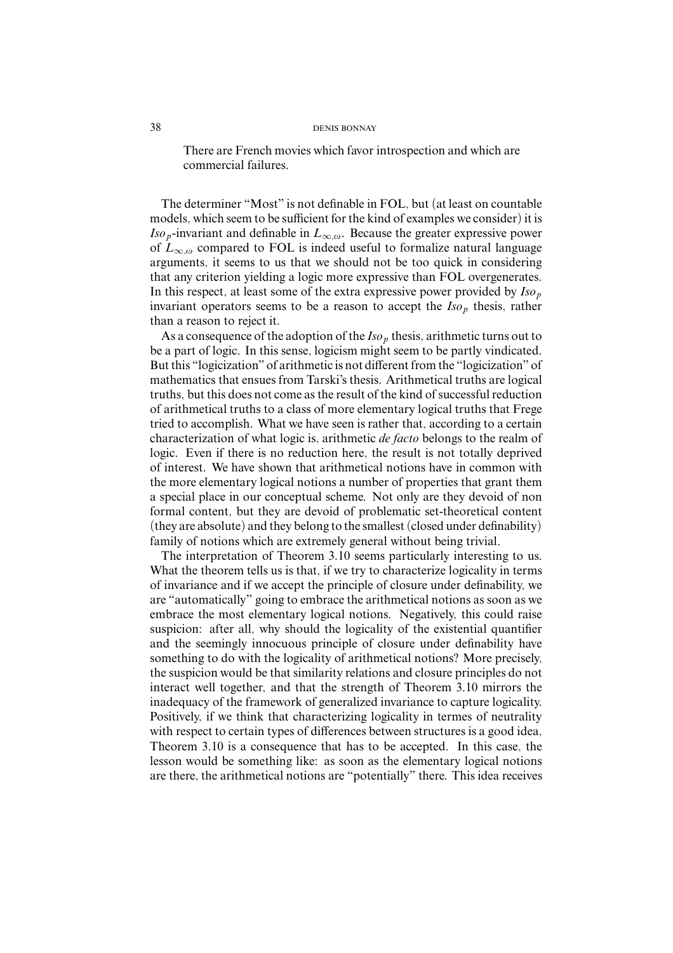There are French movies which favor introspection and which are commercial failures.

The determiner "Most" is not definable in FOL, but (at least on countable models, which seem to be sufficient for the kind of examples we consider) it is *Iso*<sub>p</sub>-invariant and definable in  $L_{\infty,\omega}$ . Because the greater expressive power of *L*∞*,ù* compared to FOL is indeed useful to formalize natural language arguments, it seems to us that we should not be too quick in considering that any criterion yielding a logic more expressive than FOL overgenerates. In this respect, at least some of the extra expressive power provided by *Iso<sup>p</sup>* invariant operators seems to be a reason to accept the *Iso<sup>p</sup>* thesis, rather than a reason to reject it.

As a consequence of the adoption of the *Iso<sup>p</sup>* thesis, arithmetic turns out to be a part of logic. In this sense, logicism might seem to be partly vindicated. But this "logicization" of arithmetic is not different from the "logicization" of mathematics that ensues from Tarski's thesis. Arithmetical truths are logical truths, but this does not come as the result of the kind of successfulreduction of arithmetical truths to a class of more elementary logical truths that Frege tried to accomplish. What we have seen is rather that, according to a certain characterization of what logic is, arithmetic *de facto* belongs to the realm of logic. Even if there is no reduction here, the result is not totally deprived of interest. We have shown that arithmetical notions have in common with the more elementary logical notions a number of properties that grant them a special place in our conceptual scheme. Not only are they devoid of non formal content, but they are devoid of problematic set-theoretical content (they are absolute) and they belong to the smallest (closed under definability) family of notions which are extremely general without being trivial.

The interpretation of Theorem 3.10 seems particularly interesting to us. What the theorem tells us is that, if we try to characterize logicality in terms of invariance and if we accept the principle of closure under definability, we are "automatically" going to embrace the arithmetical notions as soon as we embrace the most elementary logical notions. Negatively, this could raise suspicion: after all, why should the logicality of the existential quantifier and the seemingly innocuous principle of closure under definability have something to do with the logicality of arithmetical notions? More precisely, the suspicion would be that similarity relations and closure principles do not interact well together, and that the strength of Theorem 3.10 mirrors the inadequacy of the framework of generalized invariance to capture logicality. Positively, if we think that characterizing logicality in termes of neutrality with respect to certain types of differences between structures is a good idea, Theorem 3.10 is a consequence that has to be accepted. In this case, the lesson would be something like: as soon as the elementary logical notions are there, the arithmetical notions are "potentially" there. This idea receives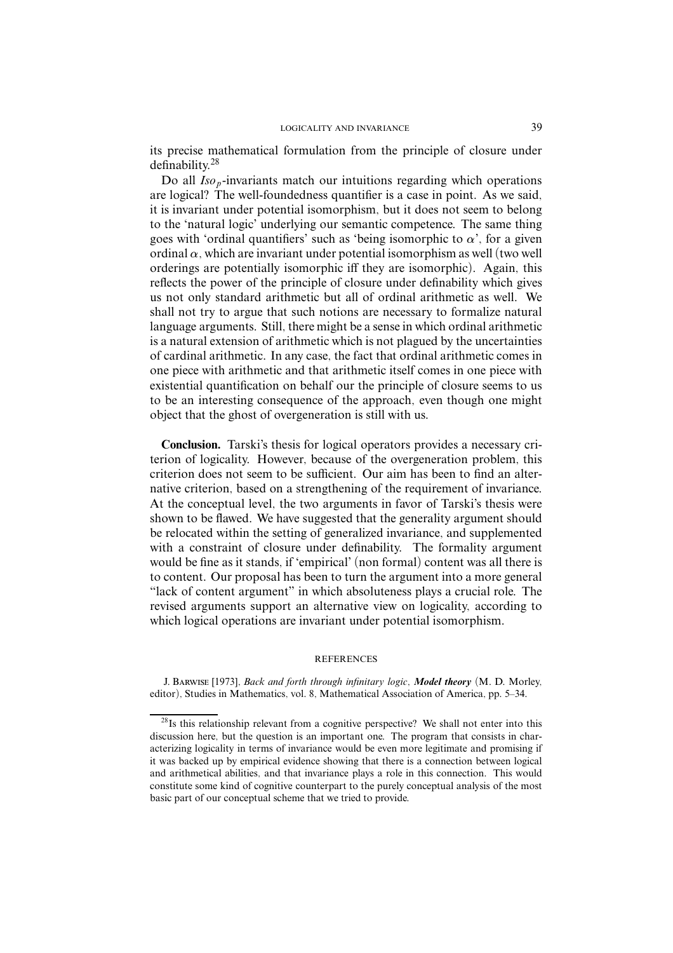#### LOGICALITY AND INVARIANCE 39

its precise mathematical formulation from the principle of closure under definability.<sup>28</sup>

Do all *Isop*-invariants match our intuitions regarding which operations are logical? The well-foundedness quantifier is a case in point. As we said, it is invariant under potential isomorphism, but it does not seem to belong to the 'natural logic' underlying our semantic competence. The same thing goes with 'ordinal quantifiers' such as 'being isomorphic to  $\alpha$ ', for a given ordinal  $\alpha$ , which are invariant under potential isomorphism as well (two well orderings are potentially isomorphic iff they are isomorphic). Again, this reflects the power of the principle of closure under definability which gives us not only standard arithmetic but all of ordinal arithmetic as well. We shall not try to argue that such notions are necessary to formalize natural language arguments. Still, there might be a sense in which ordinal arithmetic is a natural extension of arithmetic which is not plagued by the uncertainties of cardinal arithmetic. In any case, the fact that ordinal arithmetic comes in one piece with arithmetic and that arithmetic itself comes in one piece with existential quantification on behalf our the principle of closure seems to us to be an interesting consequence of the approach, even though one might object that the ghost of overgeneration is still with us.

**Conclusion.** Tarski's thesis for logical operators provides a necessary criterion of logicality. However, because of the overgeneration problem, this criterion does not seem to be sufficient. Our aim has been to find an alternative criterion, based on a strengthening of the requirement of invariance. At the conceptual level, the two arguments in favor of Tarski's thesis were shown to be flawed. We have suggested that the generality argument should be relocated within the setting of generalized invariance, and supplemented with a constraint of closure under definability. The formality argument would be fine as it stands, if 'empirical' (non formal) content was all there is to content. Our proposal has been to turn the argument into a more general "lack of content argument" in which absoluteness plays a crucial role. The revised arguments support an alternative view on logicality, according to which logical operations are invariant under potential isomorphism.

#### **REFERENCES**

J. Barwise [1973], *Back and forth through infinitary logic*, *Model theory* (M. D. Morley, editor), Studies in Mathematics, vol. 8, Mathematical Association of America, pp. 5–34.

<sup>&</sup>lt;sup>28</sup>Is this relationship relevant from a cognitive perspective? We shall not enter into this discussion here, but the question is an important one. The program that consists in characterizing logicality in terms of invariance would be even more legitimate and promising if it was backed up by empirical evidence showing that there is a connection between logical and arithmetical abilities, and that invariance plays a role in this connection. This would constitute some kind of cognitive counterpart to the purely conceptual analysis of the most basic part of our conceptual scheme that we tried to provide.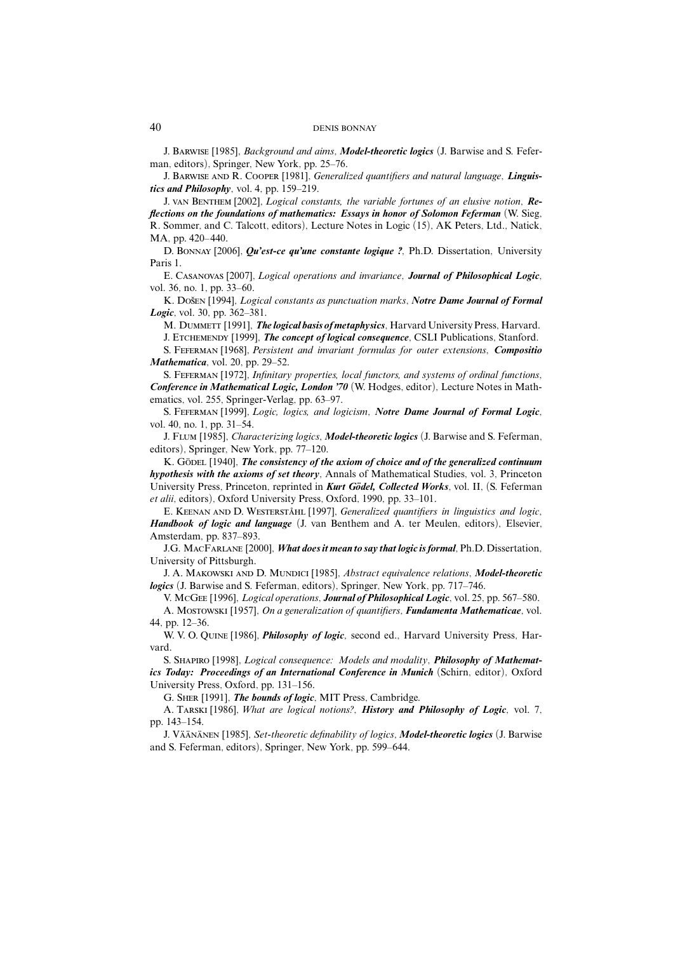J. Barwise [1985], *Background and aims*, *Model-theoretic logics* (J. Barwise and S. Feferman, editors), Springer, New York, pp. 25–76.

J. Barwise and R. Cooper [1981], *Generalized quantifiers and natural language*, *Linguistics and Philosophy*, vol. 4, pp. 159–219.

J. van Benthem [2002], *Logical constants, the variable fortunes of an elusive notion*, *Reflections on the foundations of mathematics: Essays in honor of Solomon Feferman* (W. Sieg, R. Sommer, and C. Talcott, editors), Lecture Notes in Logic (15), AK Peters, Ltd., Natick, MA, pp. 420–440.

D. Bonnay [2006], *Qu'est-ce qu'une constante logique ?*, Ph.D. Dissertation, University Paris 1.

E. Casanovas [2007], *Logical operations and invariance*, *Journal of Philosophical Logic*, vol. 36, no. 1, pp. 33–60.

K. Došen [1994], *Logical constants as punctuation marks*, *Notre Dame Journal of Formal Logic*, vol. 30, pp. 362–381.

M. Dummett [1991], *The logical basis of metaphysics*, Harvard University Press, Harvard. J. Etchemendy [1999], *The concept of logical consequence*, CSLI Publications, Stanford.

S. Feferman [1968], *Persistent and invariant formulas for outer extensions*, *Compositio Mathematica*, vol. 20, pp. 29–52.

S. Feferman [1972], *Infinitary properties, local functors, and systems of ordinal functions*, *Conference in Mathematical Logic, London '70* (W. Hodges, editor), Lecture Notes in Mathematics, vol. 255, Springer-Verlag, pp. 63–97.

S. Feferman [1999], *Logic, logics, and logicism*, *Notre Dame Journal of Formal Logic*, vol. 40, no. 1, pp. 31–54.

J. Flum [1985], *Characterizing logics*, *Model-theoretic logics* (J. Barwise and S. Feferman, editors), Springer, New York, pp. 77–120.

K. GÖDEL [1940], *The consistency of the axiom of choice and of the generalized continuum hypothesis with the axioms of set theory*, Annals of Mathematical Studies, vol. 3, Princeton University Press, Princeton, reprinted in *Kurt Gödel, Collected Works*, vol. II, (S. Feferman *et alii*, editors), Oxford University Press, Oxford, 1990, pp. 33–101.

E. KEENAN AND D. WESTERSTÅHL <sup>[1997]</sup>, *Generalized quantifiers in linguistics and logic*, *Handbook of logic and language* (J. van Benthem and A. ter Meulen, editors), Elsevier, Amsterdam, pp. 837–893.

J.G. MacFarlane [2000], *What does it mean to say that logic is formal*, Ph.D. Dissertation, University of Pittsburgh.

J. A. Makowski and D. Mundici [1985], *Abstract equivalence relations*, *Model-theoretic logics* (J. Barwise and S. Feferman, editors), Springer, New York, pp. 717–746.

V. McGee [1996], *Logical operations*, *Journal of Philosophical Logic*, vol. 25, pp. 567–580.

A. Mostowski [1957], *On a generalization of quantifiers*, *Fundamenta Mathematicae*, vol. 44, pp. 12–36.

W. V. O. Quine [1986], *Philosophy of logic*, second ed., Harvard University Press, Harvard.

S. SHAPIRO [1998], *Logical consequence: Models and modality*, *Philosophy of Mathematics Today: Proceedings of an International Conference in Munich* (Schirn, editor), Oxford University Press, Oxford, pp. 131–156.

G. Sher [1991], *The bounds of logic*, MIT Press, Cambridge.

A. Tarski [1986], *What are logical notions?*, *History and Philosophy of Logic*, vol. 7, pp. 143–154.

J. Väänänen [1985], Set-theoretic definability of logics, Model-theoretic logics (J. Barwise and S. Feferman, editors), Springer, New York, pp. 599–644.